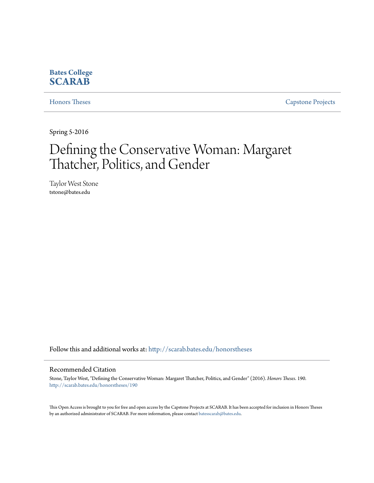#### **Bates College [SCARAB](http://scarab.bates.edu?utm_source=scarab.bates.edu%2Fhonorstheses%2F190&utm_medium=PDF&utm_campaign=PDFCoverPages)**

[Honors Theses](http://scarab.bates.edu/honorstheses?utm_source=scarab.bates.edu%2Fhonorstheses%2F190&utm_medium=PDF&utm_campaign=PDFCoverPages) [Capstone Projects](http://scarab.bates.edu/capstone?utm_source=scarab.bates.edu%2Fhonorstheses%2F190&utm_medium=PDF&utm_campaign=PDFCoverPages)

Spring 5-2016

# Defining the Conservative Woman: Margaret Thatcher, Politics, and Gender

Taylor West Stone tstone@bates.edu

Follow this and additional works at: [http://scarab.bates.edu/honorstheses](http://scarab.bates.edu/honorstheses?utm_source=scarab.bates.edu%2Fhonorstheses%2F190&utm_medium=PDF&utm_campaign=PDFCoverPages)

#### Recommended Citation

Stone, Taylor West, "Defining the Conservative Woman: Margaret Thatcher, Politics, and Gender" (2016). *Honors Theses*. 190. [http://scarab.bates.edu/honorstheses/190](http://scarab.bates.edu/honorstheses/190?utm_source=scarab.bates.edu%2Fhonorstheses%2F190&utm_medium=PDF&utm_campaign=PDFCoverPages)

This Open Access is brought to you for free and open access by the Capstone Projects at SCARAB. It has been accepted for inclusion in Honors Theses by an authorized administrator of SCARAB. For more information, please contact [batesscarab@bates.edu](mailto:batesscarab@bates.edu).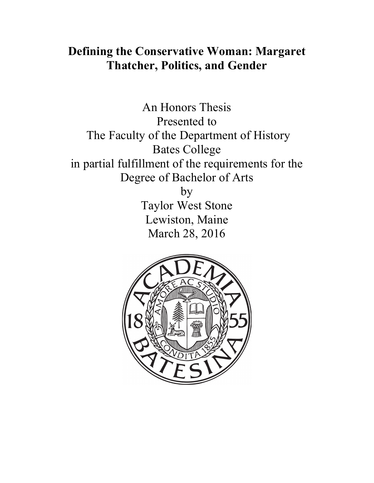## **Defining the Conservative Woman: Margaret Thatcher, Politics, and Gender**

An Honors Thesis Presented to The Faculty of the Department of History Bates College in partial fulfillment of the requirements for the Degree of Bachelor of Arts by Taylor West Stone Lewiston, Maine March 28, 2016

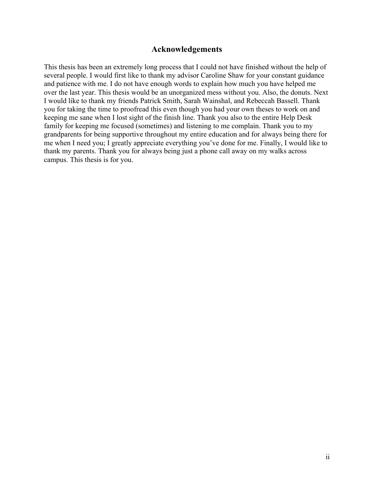#### **Acknowledgements**

This thesis has been an extremely long process that I could not have finished without the help of several people. I would first like to thank my advisor Caroline Shaw for your constant guidance and patience with me. I do not have enough words to explain how much you have helped me over the last year. This thesis would be an unorganized mess without you. Also, the donuts. Next I would like to thank my friends Patrick Smith, Sarah Wainshal, and Rebeccah Bassell. Thank you for taking the time to proofread this even though you had your own theses to work on and keeping me sane when I lost sight of the finish line. Thank you also to the entire Help Desk family for keeping me focused (sometimes) and listening to me complain. Thank you to my grandparents for being supportive throughout my entire education and for always being there for me when I need you; I greatly appreciate everything you've done for me. Finally, I would like to thank my parents. Thank you for always being just a phone call away on my walks across campus. This thesis is for you.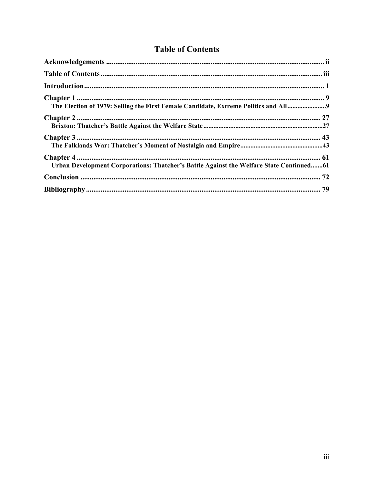### **Table of Contents**

| The Election of 1979: Selling the First Female Candidate, Extreme Politics and All9     |  |
|-----------------------------------------------------------------------------------------|--|
|                                                                                         |  |
|                                                                                         |  |
| Urban Development Corporations: Thatcher's Battle Against the Welfare State Continued61 |  |
|                                                                                         |  |
|                                                                                         |  |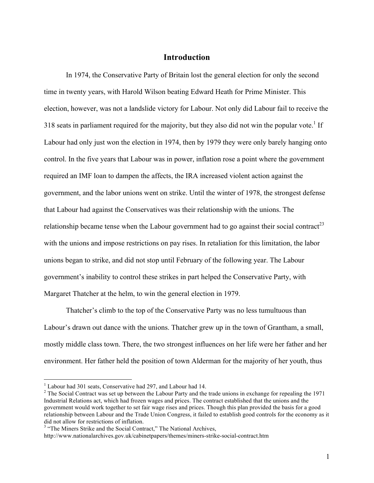#### **Introduction**

In 1974, the Conservative Party of Britain lost the general election for only the second time in twenty years, with Harold Wilson beating Edward Heath for Prime Minister. This election, however, was not a landslide victory for Labour. Not only did Labour fail to receive the 318 seats in parliament required for the majority, but they also did not win the popular vote.<sup>1</sup> If Labour had only just won the election in 1974, then by 1979 they were only barely hanging onto control. In the five years that Labour was in power, inflation rose a point where the government required an IMF loan to dampen the affects, the IRA increased violent action against the government, and the labor unions went on strike. Until the winter of 1978, the strongest defense that Labour had against the Conservatives was their relationship with the unions. The relationship became tense when the Labour government had to go against their social contract<sup>23</sup> with the unions and impose restrictions on pay rises. In retaliation for this limitation, the labor unions began to strike, and did not stop until February of the following year. The Labour government's inability to control these strikes in part helped the Conservative Party, with Margaret Thatcher at the helm, to win the general election in 1979.

Thatcher's climb to the top of the Conservative Party was no less tumultuous than Labour's drawn out dance with the unions. Thatcher grew up in the town of Grantham, a small, mostly middle class town. There, the two strongest influences on her life were her father and her environment. Her father held the position of town Alderman for the majority of her youth, thus

<sup>&</sup>lt;sup>1</sup> Labour had 301 seats, Conservative had 297, and Labour had 14.

<sup>&</sup>lt;sup>2</sup> The Social Contract was set up between the Labour Party and the trade unions in exchange for repealing the 1971 Industrial Relations act, which had frozen wages and prices. The contract established that the unions and the government would work together to set fair wage rises and prices. Though this plan provided the basis for a good relationship between Labour and the Trade Union Congress, it failed to establish good controls for the economy as it did not allow for restrictions of inflation.

<sup>&</sup>lt;sup>3</sup> "The Miners Strike and the Social Contract," The National Archives,

http://www.nationalarchives.gov.uk/cabinetpapers/themes/miners-strike-social-contract.htm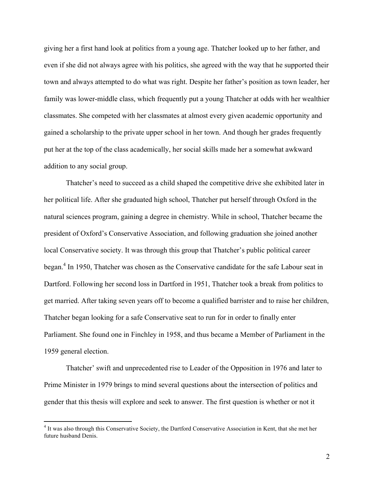giving her a first hand look at politics from a young age. Thatcher looked up to her father, and even if she did not always agree with his politics, she agreed with the way that he supported their town and always attempted to do what was right. Despite her father's position as town leader, her family was lower-middle class, which frequently put a young Thatcher at odds with her wealthier classmates. She competed with her classmates at almost every given academic opportunity and gained a scholarship to the private upper school in her town. And though her grades frequently put her at the top of the class academically, her social skills made her a somewhat awkward addition to any social group.

Thatcher's need to succeed as a child shaped the competitive drive she exhibited later in her political life. After she graduated high school, Thatcher put herself through Oxford in the natural sciences program, gaining a degree in chemistry. While in school, Thatcher became the president of Oxford's Conservative Association, and following graduation she joined another local Conservative society. It was through this group that Thatcher's public political career began.<sup>4</sup> In 1950, Thatcher was chosen as the Conservative candidate for the safe Labour seat in Dartford. Following her second loss in Dartford in 1951, Thatcher took a break from politics to get married. After taking seven years off to become a qualified barrister and to raise her children, Thatcher began looking for a safe Conservative seat to run for in order to finally enter Parliament. She found one in Finchley in 1958, and thus became a Member of Parliament in the 1959 general election.

Thatcher' swift and unprecedented rise to Leader of the Opposition in 1976 and later to Prime Minister in 1979 brings to mind several questions about the intersection of politics and gender that this thesis will explore and seek to answer. The first question is whether or not it

<sup>&</sup>lt;sup>4</sup> It was also through this Conservative Society, the Dartford Conservative Association in Kent, that she met her future husband Denis.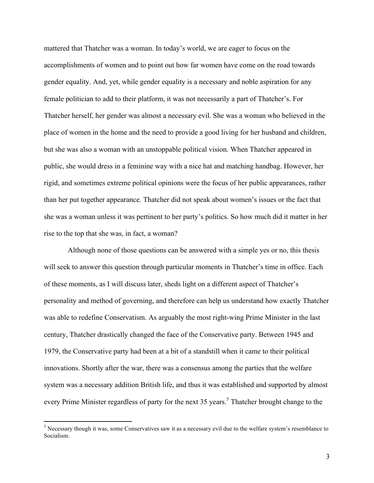mattered that Thatcher was a woman. In today's world, we are eager to focus on the accomplishments of women and to point out how far women have come on the road towards gender equality. And, yet, while gender equality is a necessary and noble aspiration for any female politician to add to their platform, it was not necessarily a part of Thatcher's. For Thatcher herself, her gender was almost a necessary evil. She was a woman who believed in the place of women in the home and the need to provide a good living for her husband and children, but she was also a woman with an unstoppable political vision. When Thatcher appeared in public, she would dress in a feminine way with a nice hat and matching handbag. However, her rigid, and sometimes extreme political opinions were the focus of her public appearances, rather than her put together appearance. Thatcher did not speak about women's issues or the fact that she was a woman unless it was pertinent to her party's politics. So how much did it matter in her rise to the top that she was, in fact, a woman?

Although none of those questions can be answered with a simple yes or no, this thesis will seek to answer this question through particular moments in Thatcher's time in office. Each of these moments, as I will discuss later, sheds light on a different aspect of Thatcher's personality and method of governing, and therefore can help us understand how exactly Thatcher was able to redefine Conservatism. As arguably the most right-wing Prime Minister in the last century, Thatcher drastically changed the face of the Conservative party. Between 1945 and 1979, the Conservative party had been at a bit of a standstill when it came to their political innovations. Shortly after the war, there was a consensus among the parties that the welfare system was a necessary addition British life, and thus it was established and supported by almost every Prime Minister regardless of party for the next 35 years.<sup>5</sup> Thatcher brought change to the

<sup>&</sup>lt;sup>5</sup> Necessary though it was, some Conservatives saw it as a necessary evil due to the welfare system's resemblance to Socialism.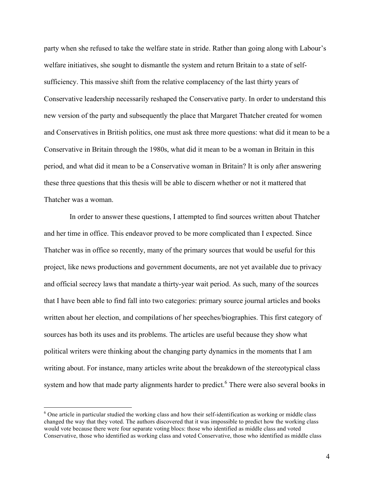party when she refused to take the welfare state in stride. Rather than going along with Labour's welfare initiatives, she sought to dismantle the system and return Britain to a state of selfsufficiency. This massive shift from the relative complacency of the last thirty years of Conservative leadership necessarily reshaped the Conservative party. In order to understand this new version of the party and subsequently the place that Margaret Thatcher created for women and Conservatives in British politics, one must ask three more questions: what did it mean to be a Conservative in Britain through the 1980s, what did it mean to be a woman in Britain in this period, and what did it mean to be a Conservative woman in Britain? It is only after answering these three questions that this thesis will be able to discern whether or not it mattered that Thatcher was a woman.

 In order to answer these questions, I attempted to find sources written about Thatcher and her time in office. This endeavor proved to be more complicated than I expected. Since Thatcher was in office so recently, many of the primary sources that would be useful for this project, like news productions and government documents, are not yet available due to privacy and official secrecy laws that mandate a thirty-year wait period. As such, many of the sources that I have been able to find fall into two categories: primary source journal articles and books written about her election, and compilations of her speeches/biographies. This first category of sources has both its uses and its problems. The articles are useful because they show what political writers were thinking about the changing party dynamics in the moments that I am writing about. For instance, many articles write about the breakdown of the stereotypical class system and how that made party alignments harder to predict.<sup>6</sup> There were also several books in

<sup>&</sup>lt;sup>6</sup> One article in particular studied the working class and how their self-identification as working or middle class changed the way that they voted. The authors discovered that it was impossible to predict how the working class would vote because there were four separate voting blocs: those who identified as middle class and voted Conservative, those who identified as working class and voted Conservative, those who identified as middle class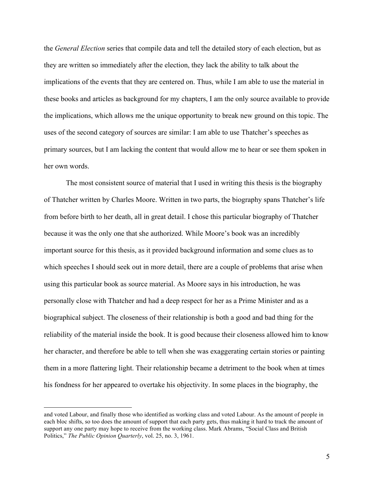the *General Election* series that compile data and tell the detailed story of each election, but as they are written so immediately after the election, they lack the ability to talk about the implications of the events that they are centered on. Thus, while I am able to use the material in these books and articles as background for my chapters, I am the only source available to provide the implications, which allows me the unique opportunity to break new ground on this topic. The uses of the second category of sources are similar: I am able to use Thatcher's speeches as primary sources, but I am lacking the content that would allow me to hear or see them spoken in her own words.

The most consistent source of material that I used in writing this thesis is the biography of Thatcher written by Charles Moore. Written in two parts, the biography spans Thatcher's life from before birth to her death, all in great detail. I chose this particular biography of Thatcher because it was the only one that she authorized. While Moore's book was an incredibly important source for this thesis, as it provided background information and some clues as to which speeches I should seek out in more detail, there are a couple of problems that arise when using this particular book as source material. As Moore says in his introduction, he was personally close with Thatcher and had a deep respect for her as a Prime Minister and as a biographical subject. The closeness of their relationship is both a good and bad thing for the reliability of the material inside the book. It is good because their closeness allowed him to know her character, and therefore be able to tell when she was exaggerating certain stories or painting them in a more flattering light. Their relationship became a detriment to the book when at times his fondness for her appeared to overtake his objectivity. In some places in the biography, the

and voted Labour, and finally those who identified as working class and voted Labour. As the amount of people in each bloc shifts, so too does the amount of support that each party gets, thus making it hard to track the amount of support any one party may hope to receive from the working class. Mark Abrams, "Social Class and British Politics," *The Public Opinion Quarterly*, vol. 25, no. 3, 1961.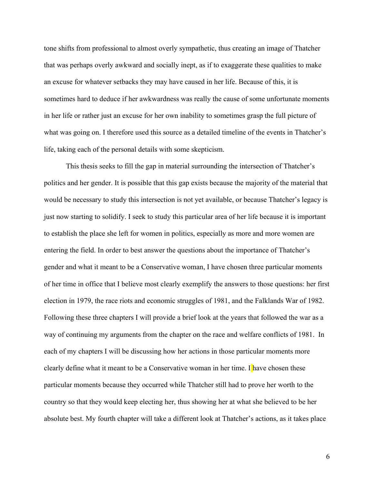tone shifts from professional to almost overly sympathetic, thus creating an image of Thatcher that was perhaps overly awkward and socially inept, as if to exaggerate these qualities to make an excuse for whatever setbacks they may have caused in her life. Because of this, it is sometimes hard to deduce if her awkwardness was really the cause of some unfortunate moments in her life or rather just an excuse for her own inability to sometimes grasp the full picture of what was going on. I therefore used this source as a detailed timeline of the events in Thatcher's life, taking each of the personal details with some skepticism.

This thesis seeks to fill the gap in material surrounding the intersection of Thatcher's politics and her gender. It is possible that this gap exists because the majority of the material that would be necessary to study this intersection is not yet available, or because Thatcher's legacy is just now starting to solidify. I seek to study this particular area of her life because it is important to establish the place she left for women in politics, especially as more and more women are entering the field. In order to best answer the questions about the importance of Thatcher's gender and what it meant to be a Conservative woman, I have chosen three particular moments of her time in office that I believe most clearly exemplify the answers to those questions: her first election in 1979, the race riots and economic struggles of 1981, and the Falklands War of 1982. Following these three chapters I will provide a brief look at the years that followed the war as a way of continuing my arguments from the chapter on the race and welfare conflicts of 1981. In each of my chapters I will be discussing how her actions in those particular moments more clearly define what it meant to be a Conservative woman in her time. I have chosen these particular moments because they occurred while Thatcher still had to prove her worth to the country so that they would keep electing her, thus showing her at what she believed to be her absolute best. My fourth chapter will take a different look at Thatcher's actions, as it takes place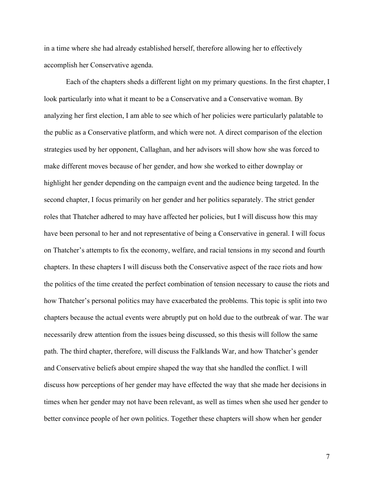in a time where she had already established herself, therefore allowing her to effectively accomplish her Conservative agenda.

Each of the chapters sheds a different light on my primary questions. In the first chapter, I look particularly into what it meant to be a Conservative and a Conservative woman. By analyzing her first election, I am able to see which of her policies were particularly palatable to the public as a Conservative platform, and which were not. A direct comparison of the election strategies used by her opponent, Callaghan, and her advisors will show how she was forced to make different moves because of her gender, and how she worked to either downplay or highlight her gender depending on the campaign event and the audience being targeted. In the second chapter, I focus primarily on her gender and her politics separately. The strict gender roles that Thatcher adhered to may have affected her policies, but I will discuss how this may have been personal to her and not representative of being a Conservative in general. I will focus on Thatcher's attempts to fix the economy, welfare, and racial tensions in my second and fourth chapters. In these chapters I will discuss both the Conservative aspect of the race riots and how the politics of the time created the perfect combination of tension necessary to cause the riots and how Thatcher's personal politics may have exacerbated the problems. This topic is split into two chapters because the actual events were abruptly put on hold due to the outbreak of war. The war necessarily drew attention from the issues being discussed, so this thesis will follow the same path. The third chapter, therefore, will discuss the Falklands War, and how Thatcher's gender and Conservative beliefs about empire shaped the way that she handled the conflict. I will discuss how perceptions of her gender may have effected the way that she made her decisions in times when her gender may not have been relevant, as well as times when she used her gender to better convince people of her own politics. Together these chapters will show when her gender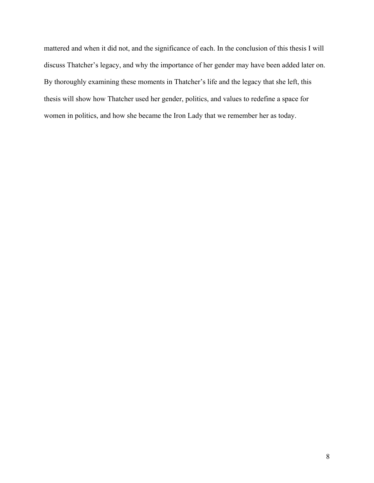mattered and when it did not, and the significance of each. In the conclusion of this thesis I will discuss Thatcher's legacy, and why the importance of her gender may have been added later on. By thoroughly examining these moments in Thatcher's life and the legacy that she left, this thesis will show how Thatcher used her gender, politics, and values to redefine a space for women in politics, and how she became the Iron Lady that we remember her as today.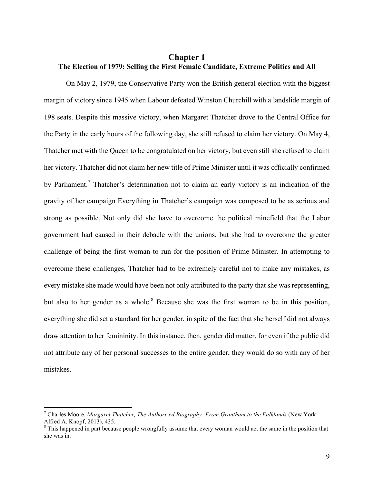#### **Chapter 1 The Election of 1979: Selling the First Female Candidate, Extreme Politics and All**

On May 2, 1979, the Conservative Party won the British general election with the biggest margin of victory since 1945 when Labour defeated Winston Churchill with a landslide margin of 198 seats. Despite this massive victory, when Margaret Thatcher drove to the Central Office for the Party in the early hours of the following day, she still refused to claim her victory. On May 4, Thatcher met with the Queen to be congratulated on her victory, but even still she refused to claim her victory. Thatcher did not claim her new title of Prime Minister until it was officially confirmed by Parliament.<sup>7</sup> Thatcher's determination not to claim an early victory is an indication of the gravity of her campaign Everything in Thatcher's campaign was composed to be as serious and strong as possible. Not only did she have to overcome the political minefield that the Labor government had caused in their debacle with the unions, but she had to overcome the greater challenge of being the first woman to run for the position of Prime Minister. In attempting to overcome these challenges, Thatcher had to be extremely careful not to make any mistakes, as every mistake she made would have been not only attributed to the party that she was representing, but also to her gender as a whole.<sup>8</sup> Because she was the first woman to be in this position, everything she did set a standard for her gender, in spite of the fact that she herself did not always draw attention to her femininity. In this instance, then, gender did matter, for even if the public did not attribute any of her personal successes to the entire gender, they would do so with any of her mistakes.

 <sup>7</sup> Charles Moore, *Margaret Thatcher, The Authorized Biography: From Grantham to the Falklands* (New York: Alfred A. Knopf, 2013), 435.<br><sup>8</sup> This happened in part because people wrongfully assume that every woman would act the same in the position that

she was in.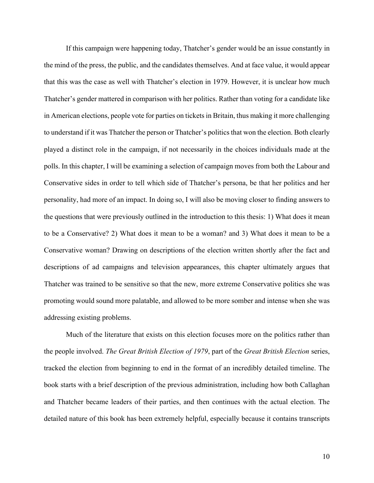If this campaign were happening today, Thatcher's gender would be an issue constantly in the mind of the press, the public, and the candidates themselves. And at face value, it would appear that this was the case as well with Thatcher's election in 1979. However, it is unclear how much Thatcher's gender mattered in comparison with her politics. Rather than voting for a candidate like in American elections, people vote for parties on tickets in Britain, thus making it more challenging to understand if it was Thatcher the person or Thatcher's politics that won the election. Both clearly played a distinct role in the campaign, if not necessarily in the choices individuals made at the polls. In this chapter, I will be examining a selection of campaign moves from both the Labour and Conservative sides in order to tell which side of Thatcher's persona, be that her politics and her personality, had more of an impact. In doing so, I will also be moving closer to finding answers to the questions that were previously outlined in the introduction to this thesis: 1) What does it mean to be a Conservative? 2) What does it mean to be a woman? and 3) What does it mean to be a Conservative woman? Drawing on descriptions of the election written shortly after the fact and descriptions of ad campaigns and television appearances, this chapter ultimately argues that Thatcher was trained to be sensitive so that the new, more extreme Conservative politics she was promoting would sound more palatable, and allowed to be more somber and intense when she was addressing existing problems.

Much of the literature that exists on this election focuses more on the politics rather than the people involved. *The Great British Election of 1979*, part of the *Great British Election* series, tracked the election from beginning to end in the format of an incredibly detailed timeline. The book starts with a brief description of the previous administration, including how both Callaghan and Thatcher became leaders of their parties, and then continues with the actual election. The detailed nature of this book has been extremely helpful, especially because it contains transcripts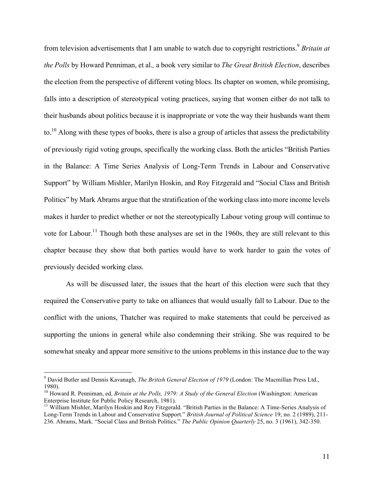from television advertisements that I am unable to watch due to copyright restrictions.<sup>9</sup> *Britain at the Polls* by Howard Penniman, et al.*,* a book very similar to *The Great British Election*, describes the election from the perspective of different voting blocs. Its chapter on women, while promising, falls into a description of stereotypical voting practices, saying that women either do not talk to their husbands about politics because it is inappropriate or vote the way their husbands want them to.<sup>10</sup> Along with these types of books, there is also a group of articles that assess the predictability of previously rigid voting groups, specifically the working class. Both the articles "British Parties in the Balance: A Time Series Analysis of Long-Term Trends in Labour and Conservative Support" by William Mishler, Marilyn Hoskin, and Roy Fitzgerald and "Social Class and British Politics" by Mark Abrams argue that the stratification of the working class into more income levels makes it harder to predict whether or not the stereotypically Labour voting group will continue to vote for Labour.<sup>11</sup> Though both these analyses are set in the 1960s, they are still relevant to this chapter because they show that both parties would have to work harder to gain the votes of previously decided working class.

As will be discussed later, the issues that the heart of this election were such that they required the Conservative party to take on alliances that would usually fall to Labour. Due to the conflict with the unions, Thatcher was required to make statements that could be perceived as supporting the unions in general while also condemning their striking. She was required to be somewhat sneaky and appear more sensitive to the unions problems in this instance due to the way

 <sup>9</sup> David Butler and Dennis Kavanagh, *The British General Election of 1979* (London: The Macmillan Press Ltd., 1980).<br><sup>10</sup> Howard R. Penniman, ed, *Britain at the Polls, 1979: A Study of the General Election* (Washington: American

Enterprise Institute for Public Policy Research, 1981).

<sup>&</sup>lt;sup>11</sup> William Mishler, Marilyn Hoskin and Roy Fitzgerald. "British Parties in the Balance: A Time-Series Analysis of Long-Term Trends in Labour and Conservative Support." *British Journal of Political Science* 19, no. 2 (1989), 211- 236. Abrams, Mark. "Social Class and British Politics." *The Public Opinion Quarterly* 25, no. 3 (1961), 342-350.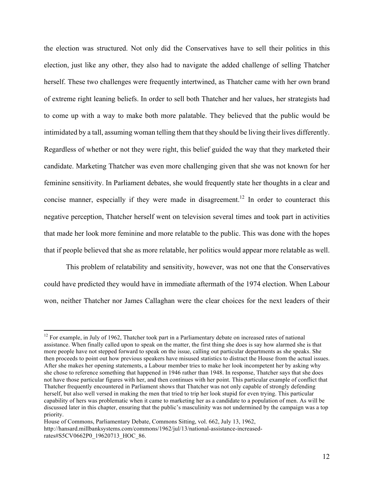the election was structured. Not only did the Conservatives have to sell their politics in this election, just like any other, they also had to navigate the added challenge of selling Thatcher herself. These two challenges were frequently intertwined, as Thatcher came with her own brand of extreme right leaning beliefs. In order to sell both Thatcher and her values, her strategists had to come up with a way to make both more palatable. They believed that the public would be intimidated by a tall, assuming woman telling them that they should be living their lives differently. Regardless of whether or not they were right, this belief guided the way that they marketed their candidate. Marketing Thatcher was even more challenging given that she was not known for her feminine sensitivity. In Parliament debates, she would frequently state her thoughts in a clear and concise manner, especially if they were made in disagreement.<sup>12</sup> In order to counteract this negative perception, Thatcher herself went on television several times and took part in activities that made her look more feminine and more relatable to the public. This was done with the hopes that if people believed that she as more relatable, her politics would appear more relatable as well.

This problem of relatability and sensitivity, however, was not one that the Conservatives could have predicted they would have in immediate aftermath of the 1974 election. When Labour won, neither Thatcher nor James Callaghan were the clear choices for the next leaders of their

<sup>&</sup>lt;sup>12</sup> For example, in July of 1962, Thatcher took part in a Parliamentary debate on increased rates of national assistance. When finally called upon to speak on the matter, the first thing she does is say how alarmed she is that more people have not stepped forward to speak on the issue, calling out particular departments as she speaks. She then proceeds to point out how previous speakers have misused statistics to distract the House from the actual issues. After she makes her opening statements, a Labour member tries to make her look incompetent her by asking why she chose to reference something that happened in 1946 rather than 1948. In response, Thatcher says that she does not have those particular figures with her, and then continues with her point. This particular example of conflict that Thatcher frequently encountered in Parliament shows that Thatcher was not only capable of strongly defending herself, but also well versed in making the men that tried to trip her look stupid for even trying. This particular capability of hers was problematic when it came to marketing her as a candidate to a population of men. As will be discussed later in this chapter, ensuring that the public's masculinity was not undermined by the campaign was a top priority.

House of Commons, Parliamentary Debate, Commons Sitting, vol. 662, July 13, 1962, http://hansard.millbanksystems.com/commons/1962/jul/13/national-assistance-increasedrates#S5CV0662P0\_19620713\_HOC\_86.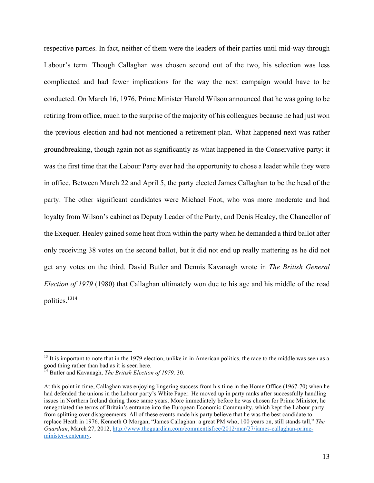respective parties. In fact, neither of them were the leaders of their parties until mid-way through Labour's term. Though Callaghan was chosen second out of the two, his selection was less complicated and had fewer implications for the way the next campaign would have to be conducted. On March 16, 1976, Prime Minister Harold Wilson announced that he was going to be retiring from office, much to the surprise of the majority of his colleagues because he had just won the previous election and had not mentioned a retirement plan. What happened next was rather groundbreaking, though again not as significantly as what happened in the Conservative party: it was the first time that the Labour Party ever had the opportunity to chose a leader while they were in office. Between March 22 and April 5, the party elected James Callaghan to be the head of the party. The other significant candidates were Michael Foot, who was more moderate and had loyalty from Wilson's cabinet as Deputy Leader of the Party, and Denis Healey, the Chancellor of the Exequer. Healey gained some heat from within the party when he demanded a third ballot after only receiving 38 votes on the second ballot, but it did not end up really mattering as he did not get any votes on the third. David Butler and Dennis Kavanagh wrote in *The British General Election of 1979* (1980) that Callaghan ultimately won due to his age and his middle of the road politics.<sup>1314</sup>

 $13$  It is important to note that in the 1979 election, unlike in in American politics, the race to the middle was seen as a good thing rather than bad as it is seen here.

<sup>14</sup> Butler and Kavanagh, *The British Election of 1979,* 30.

At this point in time, Callaghan was enjoying lingering success from his time in the Home Office (1967-70) when he had defended the unions in the Labour party's White Paper. He moved up in party ranks after successfully handling issues in Northern Ireland during those same years. More immediately before he was chosen for Prime Minister, he renegotiated the terms of Britain's entrance into the European Economic Community, which kept the Labour party from splitting over disagreements. All of these events made his party believe that he was the best candidate to replace Heath in 1976. Kenneth O Morgan, "James Callaghan: a great PM who, 100 years on, still stands tall," *The Guardian*, March 27, 2012, http://www.theguardian.com/commentisfree/2012/mar/27/james-callaghan-primeminister-centenary.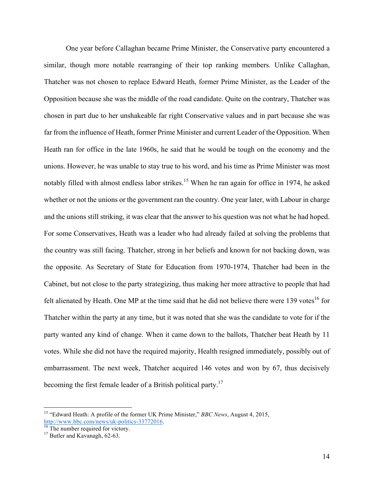One year before Callaghan became Prime Minister, the Conservative party encountered a similar, though more notable rearranging of their top ranking members. Unlike Callaghan, Thatcher was not chosen to replace Edward Heath, former Prime Minister, as the Leader of the Opposition because she was the middle of the road candidate. Quite on the contrary, Thatcher was chosen in part due to her unshakeable far right Conservative values and in part because she was far from the influence of Heath, former Prime Minister and current Leader of the Opposition. When Heath ran for office in the late 1960s, he said that he would be tough on the economy and the unions. However, he was unable to stay true to his word, and his time as Prime Minister was most notably filled with almost endless labor strikes.<sup>15</sup> When he ran again for office in 1974, he asked whether or not the unions or the government ran the country. One year later, with Labour in charge and the unions still striking, it was clear that the answer to his question was not what he had hoped. For some Conservatives, Heath was a leader who had already failed at solving the problems that the country was still facing. Thatcher, strong in her beliefs and known for not backing down, was the opposite. As Secretary of State for Education from 1970-1974, Thatcher had been in the Cabinet, but not close to the party strategizing, thus making her more attractive to people that had felt alienated by Heath. One MP at the time said that he did not believe there were  $139$  votes<sup>16</sup> for Thatcher within the party at any time, but it was noted that she was the candidate to vote for if the party wanted any kind of change. When it came down to the ballots, Thatcher beat Heath by 11 votes. While she did not have the required majority, Health resigned immediately, possibly out of embarrassment. The next week, Thatcher acquired 146 votes and won by 67, thus decisively becoming the first female leader of a British political party.17

 <sup>15</sup> "Edward Heath: A profile of the former UK Prime Minister," *BBC News*, August 4, 2015, http://www.bbc.com/news/uk-politics-33772016.<br><sup>16</sup> The number required for victory.<br><sup>17</sup> Butler and Kavanagh, 62-63.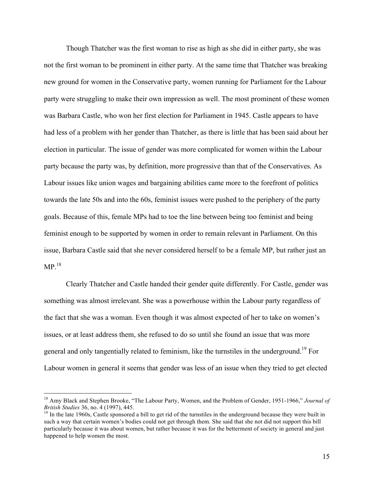Though Thatcher was the first woman to rise as high as she did in either party, she was not the first woman to be prominent in either party. At the same time that Thatcher was breaking new ground for women in the Conservative party, women running for Parliament for the Labour party were struggling to make their own impression as well. The most prominent of these women was Barbara Castle, who won her first election for Parliament in 1945. Castle appears to have had less of a problem with her gender than Thatcher, as there is little that has been said about her election in particular. The issue of gender was more complicated for women within the Labour party because the party was, by definition, more progressive than that of the Conservatives. As Labour issues like union wages and bargaining abilities came more to the forefront of politics towards the late 50s and into the 60s, feminist issues were pushed to the periphery of the party goals. Because of this, female MPs had to toe the line between being too feminist and being feminist enough to be supported by women in order to remain relevant in Parliament. On this issue, Barbara Castle said that she never considered herself to be a female MP, but rather just an  $MP<sup>18</sup>$ 

Clearly Thatcher and Castle handed their gender quite differently. For Castle, gender was something was almost irrelevant. She was a powerhouse within the Labour party regardless of the fact that she was a woman. Even though it was almost expected of her to take on women's issues, or at least address them, she refused to do so until she found an issue that was more general and only tangentially related to feminism, like the turnstiles in the underground.<sup>19</sup> For Labour women in general it seems that gender was less of an issue when they tried to get elected

<sup>&</sup>lt;sup>18</sup> Amy Black and Stephen Brooke, "The Labour Party, Women, and the Problem of Gender, 1951-1966," *Journal of British Studies* 36, no. 4 (1997), 445.

<sup>&</sup>lt;sup>19</sup> In the late 1960s, Castle sponsored a bill to get rid of the turnstiles in the underground because they were built in such a way that certain women's bodies could not get through them. She said that she not did not support this bill particularly because it was about women, but rather because it was for the betterment of society in general and just happened to help women the most.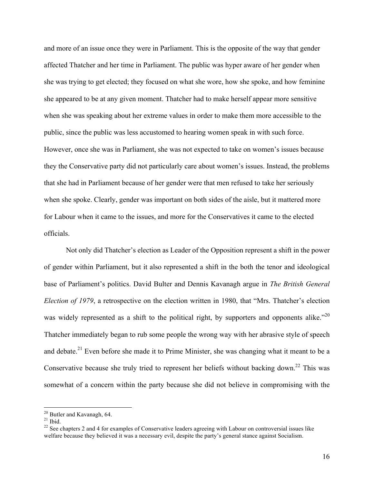and more of an issue once they were in Parliament. This is the opposite of the way that gender affected Thatcher and her time in Parliament. The public was hyper aware of her gender when she was trying to get elected; they focused on what she wore, how she spoke, and how feminine she appeared to be at any given moment. Thatcher had to make herself appear more sensitive when she was speaking about her extreme values in order to make them more accessible to the public, since the public was less accustomed to hearing women speak in with such force. However, once she was in Parliament, she was not expected to take on women's issues because they the Conservative party did not particularly care about women's issues. Instead, the problems that she had in Parliament because of her gender were that men refused to take her seriously when she spoke. Clearly, gender was important on both sides of the aisle, but it mattered more for Labour when it came to the issues, and more for the Conservatives it came to the elected officials.

Not only did Thatcher's election as Leader of the Opposition represent a shift in the power of gender within Parliament, but it also represented a shift in the both the tenor and ideological base of Parliament's politics. David Bulter and Dennis Kavanagh argue in *The British General Election of 1979*, a retrospective on the election written in 1980, that "Mrs. Thatcher's election was widely represented as a shift to the political right, by supporters and opponents alike."<sup>20</sup> Thatcher immediately began to rub some people the wrong way with her abrasive style of speech and debate.<sup>21</sup> Even before she made it to Prime Minister, she was changing what it meant to be a Conservative because she truly tried to represent her beliefs without backing down.<sup>22</sup> This was somewhat of a concern within the party because she did not believe in compromising with the

<sup>&</sup>lt;sup>20</sup> Butler and Kavanagh, 64.<br><sup>21</sup> Ibid. <sup>22</sup> See chapters 2 and 4 for examples of Conservative leaders agreeing with Labour on controversial issues like welfare because they believed it was a necessary evil, despite the party's general stance against Socialism.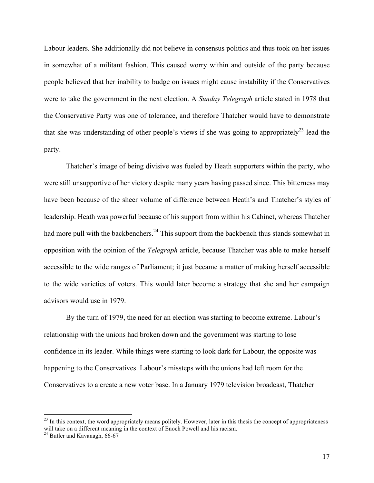Labour leaders. She additionally did not believe in consensus politics and thus took on her issues in somewhat of a militant fashion. This caused worry within and outside of the party because people believed that her inability to budge on issues might cause instability if the Conservatives were to take the government in the next election. A *Sunday Telegraph* article stated in 1978 that the Conservative Party was one of tolerance, and therefore Thatcher would have to demonstrate that she was understanding of other people's views if she was going to appropriately<sup>23</sup> lead the party.

Thatcher's image of being divisive was fueled by Heath supporters within the party, who were still unsupportive of her victory despite many years having passed since. This bitterness may have been because of the sheer volume of difference between Heath's and Thatcher's styles of leadership. Heath was powerful because of his support from within his Cabinet, whereas Thatcher had more pull with the backbenchers.<sup>24</sup> This support from the backbench thus stands somewhat in opposition with the opinion of the *Telegraph* article, because Thatcher was able to make herself accessible to the wide ranges of Parliament; it just became a matter of making herself accessible to the wide varieties of voters. This would later become a strategy that she and her campaign advisors would use in 1979.

By the turn of 1979, the need for an election was starting to become extreme. Labour's relationship with the unions had broken down and the government was starting to lose confidence in its leader. While things were starting to look dark for Labour, the opposite was happening to the Conservatives. Labour's missteps with the unions had left room for the Conservatives to a create a new voter base. In a January 1979 television broadcast, Thatcher

 $^{23}$  In this context, the word appropriately means politely. However, later in this thesis the concept of appropriateness will take on a different meaning in the context of Enoch Powell and his racism.<br><sup>24</sup> Butler and Kavanagh, 66-67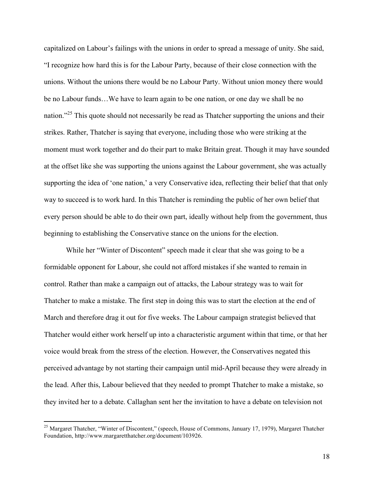capitalized on Labour's failings with the unions in order to spread a message of unity. She said, "I recognize how hard this is for the Labour Party, because of their close connection with the unions. Without the unions there would be no Labour Party. Without union money there would be no Labour funds…We have to learn again to be one nation, or one day we shall be no nation."<sup>25</sup> This quote should not necessarily be read as Thatcher supporting the unions and their strikes. Rather, Thatcher is saying that everyone, including those who were striking at the moment must work together and do their part to make Britain great. Though it may have sounded at the offset like she was supporting the unions against the Labour government, she was actually supporting the idea of 'one nation,' a very Conservative idea, reflecting their belief that that only way to succeed is to work hard. In this Thatcher is reminding the public of her own belief that every person should be able to do their own part, ideally without help from the government, thus beginning to establishing the Conservative stance on the unions for the election.

While her "Winter of Discontent" speech made it clear that she was going to be a formidable opponent for Labour, she could not afford mistakes if she wanted to remain in control. Rather than make a campaign out of attacks, the Labour strategy was to wait for Thatcher to make a mistake. The first step in doing this was to start the election at the end of March and therefore drag it out for five weeks. The Labour campaign strategist believed that Thatcher would either work herself up into a characteristic argument within that time, or that her voice would break from the stress of the election. However, the Conservatives negated this perceived advantage by not starting their campaign until mid-April because they were already in the lead. After this, Labour believed that they needed to prompt Thatcher to make a mistake, so they invited her to a debate. Callaghan sent her the invitation to have a debate on television not

<sup>&</sup>lt;sup>25</sup> Margaret Thatcher, "Winter of Discontent," (speech, House of Commons, January 17, 1979), Margaret Thatcher Foundation, http://www.margaretthatcher.org/document/103926.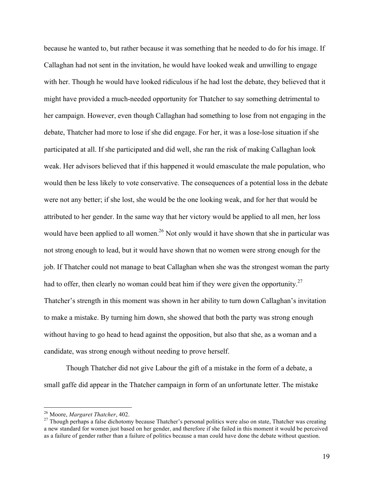because he wanted to, but rather because it was something that he needed to do for his image. If Callaghan had not sent in the invitation, he would have looked weak and unwilling to engage with her. Though he would have looked ridiculous if he had lost the debate, they believed that it might have provided a much-needed opportunity for Thatcher to say something detrimental to her campaign. However, even though Callaghan had something to lose from not engaging in the debate, Thatcher had more to lose if she did engage. For her, it was a lose-lose situation if she participated at all. If she participated and did well, she ran the risk of making Callaghan look weak. Her advisors believed that if this happened it would emasculate the male population, who would then be less likely to vote conservative. The consequences of a potential loss in the debate were not any better; if she lost, she would be the one looking weak, and for her that would be attributed to her gender. In the same way that her victory would be applied to all men, her loss would have been applied to all women.<sup>26</sup> Not only would it have shown that she in particular was not strong enough to lead, but it would have shown that no women were strong enough for the job. If Thatcher could not manage to beat Callaghan when she was the strongest woman the party had to offer, then clearly no woman could beat him if they were given the opportunity.<sup>27</sup> Thatcher's strength in this moment was shown in her ability to turn down Callaghan's invitation to make a mistake. By turning him down, she showed that both the party was strong enough without having to go head to head against the opposition, but also that she, as a woman and a candidate, was strong enough without needing to prove herself.

Though Thatcher did not give Labour the gift of a mistake in the form of a debate, a small gaffe did appear in the Thatcher campaign in form of an unfortunate letter. The mistake

<sup>&</sup>lt;sup>26</sup> Moore, *Margaret Thatcher*, 402.<br><sup>27</sup> Though perhaps a false dichotomy because Thatcher's personal politics were also on state, Thatcher was creating a new standard for women just based on her gender, and therefore if she failed in this moment it would be perceived as a failure of gender rather than a failure of politics because a man could have done the debate without question.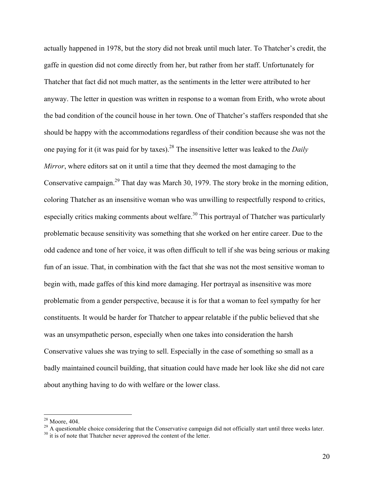actually happened in 1978, but the story did not break until much later. To Thatcher's credit, the gaffe in question did not come directly from her, but rather from her staff. Unfortunately for Thatcher that fact did not much matter, as the sentiments in the letter were attributed to her anyway. The letter in question was written in response to a woman from Erith, who wrote about the bad condition of the council house in her town. One of Thatcher's staffers responded that she should be happy with the accommodations regardless of their condition because she was not the one paying for it (it was paid for by taxes).28 The insensitive letter was leaked to the *Daily Mirror*, where editors sat on it until a time that they deemed the most damaging to the Conservative campaign.29 That day was March 30, 1979. The story broke in the morning edition, coloring Thatcher as an insensitive woman who was unwilling to respectfully respond to critics, especially critics making comments about welfare.<sup>30</sup> This portrayal of Thatcher was particularly problematic because sensitivity was something that she worked on her entire career. Due to the odd cadence and tone of her voice, it was often difficult to tell if she was being serious or making fun of an issue. That, in combination with the fact that she was not the most sensitive woman to begin with, made gaffes of this kind more damaging. Her portrayal as insensitive was more problematic from a gender perspective, because it is for that a woman to feel sympathy for her constituents. It would be harder for Thatcher to appear relatable if the public believed that she was an unsympathetic person, especially when one takes into consideration the harsh Conservative values she was trying to sell. Especially in the case of something so small as a badly maintained council building, that situation could have made her look like she did not care about anything having to do with welfare or the lower class.

<sup>&</sup>lt;sup>28</sup> Moore, 404.<br><sup>29</sup> A questionable choice considering that the Conservative campaign did not officially start until three weeks later.<br><sup>30</sup> it is of note that Thatcher never approved the content of the letter.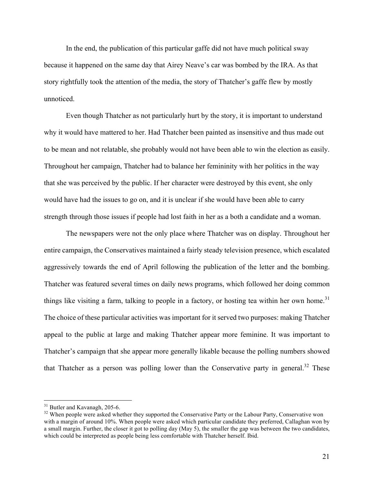In the end, the publication of this particular gaffe did not have much political sway because it happened on the same day that Airey Neave's car was bombed by the IRA. As that story rightfully took the attention of the media, the story of Thatcher's gaffe flew by mostly unnoticed.

Even though Thatcher as not particularly hurt by the story, it is important to understand why it would have mattered to her. Had Thatcher been painted as insensitive and thus made out to be mean and not relatable, she probably would not have been able to win the election as easily. Throughout her campaign, Thatcher had to balance her femininity with her politics in the way that she was perceived by the public. If her character were destroyed by this event, she only would have had the issues to go on, and it is unclear if she would have been able to carry strength through those issues if people had lost faith in her as a both a candidate and a woman.

The newspapers were not the only place where Thatcher was on display. Throughout her entire campaign, the Conservatives maintained a fairly steady television presence, which escalated aggressively towards the end of April following the publication of the letter and the bombing. Thatcher was featured several times on daily news programs, which followed her doing common things like visiting a farm, talking to people in a factory, or hosting tea within her own home.<sup>31</sup> The choice of these particular activities was important for it served two purposes: making Thatcher appeal to the public at large and making Thatcher appear more feminine. It was important to Thatcher's campaign that she appear more generally likable because the polling numbers showed that Thatcher as a person was polling lower than the Conservative party in general.<sup>32</sup> These

 $31$  Butler and Kavanagh, 205-6.<br><sup>32</sup> When people were asked whether they supported the Conservative Party or the Labour Party, Conservative won with a margin of around 10%. When people were asked which particular candidate they preferred, Callaghan won by a small margin. Further, the closer it got to polling day (May 5), the smaller the gap was between the two candidates, which could be interpreted as people being less comfortable with Thatcher herself. Ibid.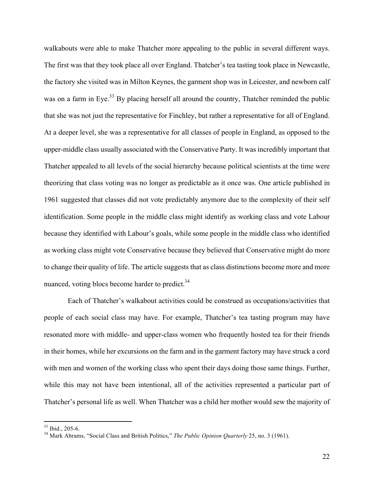walkabouts were able to make Thatcher more appealing to the public in several different ways. The first was that they took place all over England. Thatcher's tea tasting took place in Newcastle, the factory she visited was in Milton Keynes, the garment shop was in Leicester, and newborn calf was on a farm in Eye.<sup>33</sup> By placing herself all around the country, Thatcher reminded the public that she was not just the representative for Finchley, but rather a representative for all of England. At a deeper level, she was a representative for all classes of people in England, as opposed to the upper-middle class usually associated with the Conservative Party. It was incredibly important that Thatcher appealed to all levels of the social hierarchy because political scientists at the time were theorizing that class voting was no longer as predictable as it once was. One article published in 1961 suggested that classes did not vote predictably anymore due to the complexity of their self identification. Some people in the middle class might identify as working class and vote Labour because they identified with Labour's goals, while some people in the middle class who identified as working class might vote Conservative because they believed that Conservative might do more to change their quality of life. The article suggests that as class distinctions become more and more nuanced, voting blocs become harder to predict. $34$ 

Each of Thatcher's walkabout activities could be construed as occupations/activities that people of each social class may have. For example, Thatcher's tea tasting program may have resonated more with middle- and upper-class women who frequently hosted tea for their friends in their homes, while her excursions on the farm and in the garment factory may have struck a cord with men and women of the working class who spent their days doing those same things. Further, while this may not have been intentional, all of the activities represented a particular part of Thatcher's personal life as well. When Thatcher was a child her mother would sew the majority of

 <sup>33</sup> Ibid., 205-6. <sup>34</sup> Mark Abrams, "Social Class and British Politics," *The Public Opinion Quarterly* 25, no. 3 (1961).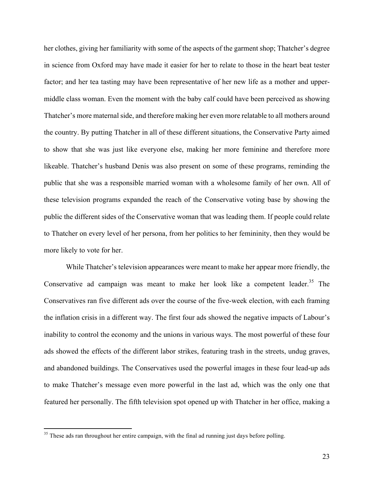her clothes, giving her familiarity with some of the aspects of the garment shop; Thatcher's degree in science from Oxford may have made it easier for her to relate to those in the heart beat tester factor; and her tea tasting may have been representative of her new life as a mother and uppermiddle class woman. Even the moment with the baby calf could have been perceived as showing Thatcher's more maternal side, and therefore making her even more relatable to all mothers around the country. By putting Thatcher in all of these different situations, the Conservative Party aimed to show that she was just like everyone else, making her more feminine and therefore more likeable. Thatcher's husband Denis was also present on some of these programs, reminding the public that she was a responsible married woman with a wholesome family of her own. All of these television programs expanded the reach of the Conservative voting base by showing the public the different sides of the Conservative woman that was leading them. If people could relate to Thatcher on every level of her persona, from her politics to her femininity, then they would be more likely to vote for her.

While Thatcher's television appearances were meant to make her appear more friendly, the Conservative ad campaign was meant to make her look like a competent leader.<sup>35</sup> The Conservatives ran five different ads over the course of the five-week election, with each framing the inflation crisis in a different way. The first four ads showed the negative impacts of Labour's inability to control the economy and the unions in various ways. The most powerful of these four ads showed the effects of the different labor strikes, featuring trash in the streets, undug graves, and abandoned buildings. The Conservatives used the powerful images in these four lead-up ads to make Thatcher's message even more powerful in the last ad, which was the only one that featured her personally. The fifth television spot opened up with Thatcher in her office, making a

<sup>&</sup>lt;sup>35</sup> These ads ran throughout her entire campaign, with the final ad running just days before polling.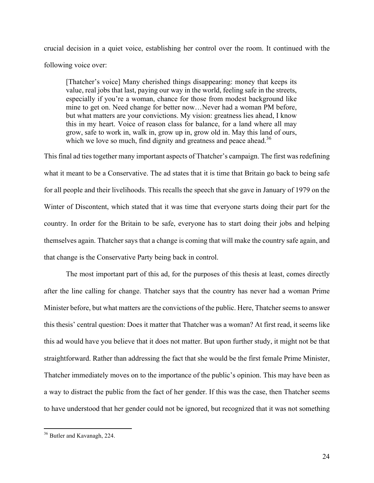crucial decision in a quiet voice, establishing her control over the room. It continued with the following voice over:

[Thatcher's voice] Many cherished things disappearing: money that keeps its value, real jobs that last, paying our way in the world, feeling safe in the streets, especially if you're a woman, chance for those from modest background like mine to get on. Need change for better now…Never had a woman PM before, but what matters are your convictions. My vision: greatness lies ahead, I know this in my heart. Voice of reason class for balance, for a land where all may grow, safe to work in, walk in, grow up in, grow old in. May this land of ours, which we love so much, find dignity and greatness and peace ahead.<sup>36</sup>

This final ad ties together many important aspects of Thatcher's campaign. The first was redefining what it meant to be a Conservative. The ad states that it is time that Britain go back to being safe for all people and their livelihoods. This recalls the speech that she gave in January of 1979 on the Winter of Discontent, which stated that it was time that everyone starts doing their part for the country. In order for the Britain to be safe, everyone has to start doing their jobs and helping themselves again. Thatcher says that a change is coming that will make the country safe again, and that change is the Conservative Party being back in control.

The most important part of this ad, for the purposes of this thesis at least, comes directly after the line calling for change. Thatcher says that the country has never had a woman Prime Minister before, but what matters are the convictions of the public. Here, Thatcher seems to answer this thesis' central question: Does it matter that Thatcher was a woman? At first read, it seems like this ad would have you believe that it does not matter. But upon further study, it might not be that straightforward. Rather than addressing the fact that she would be the first female Prime Minister, Thatcher immediately moves on to the importance of the public's opinion. This may have been as a way to distract the public from the fact of her gender. If this was the case, then Thatcher seems to have understood that her gender could not be ignored, but recognized that it was not something

 <sup>36</sup> Butler and Kavanagh, 224.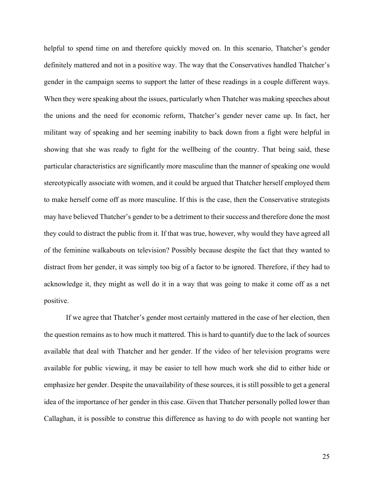helpful to spend time on and therefore quickly moved on. In this scenario, Thatcher's gender definitely mattered and not in a positive way. The way that the Conservatives handled Thatcher's gender in the campaign seems to support the latter of these readings in a couple different ways. When they were speaking about the issues, particularly when Thatcher was making speeches about the unions and the need for economic reform, Thatcher's gender never came up. In fact, her militant way of speaking and her seeming inability to back down from a fight were helpful in showing that she was ready to fight for the wellbeing of the country. That being said, these particular characteristics are significantly more masculine than the manner of speaking one would stereotypically associate with women, and it could be argued that Thatcher herself employed them to make herself come off as more masculine. If this is the case, then the Conservative strategists may have believed Thatcher's gender to be a detriment to their success and therefore done the most they could to distract the public from it. If that was true, however, why would they have agreed all of the feminine walkabouts on television? Possibly because despite the fact that they wanted to distract from her gender, it was simply too big of a factor to be ignored. Therefore, if they had to acknowledge it, they might as well do it in a way that was going to make it come off as a net positive.

If we agree that Thatcher's gender most certainly mattered in the case of her election, then the question remains as to how much it mattered. This is hard to quantify due to the lack of sources available that deal with Thatcher and her gender. If the video of her television programs were available for public viewing, it may be easier to tell how much work she did to either hide or emphasize her gender. Despite the unavailability of these sources, it is still possible to get a general idea of the importance of her gender in this case. Given that Thatcher personally polled lower than Callaghan, it is possible to construe this difference as having to do with people not wanting her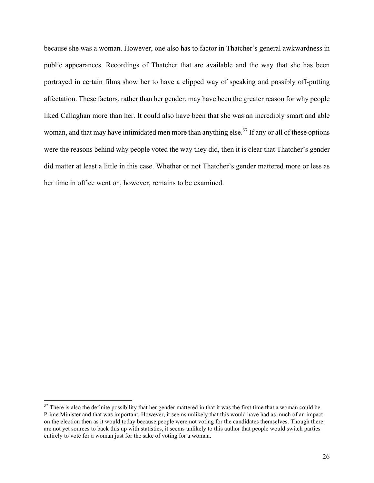because she was a woman. However, one also has to factor in Thatcher's general awkwardness in public appearances. Recordings of Thatcher that are available and the way that she has been portrayed in certain films show her to have a clipped way of speaking and possibly off-putting affectation. These factors, rather than her gender, may have been the greater reason for why people liked Callaghan more than her. It could also have been that she was an incredibly smart and able woman, and that may have intimidated men more than anything else.<sup>37</sup> If any or all of these options were the reasons behind why people voted the way they did, then it is clear that Thatcher's gender did matter at least a little in this case. Whether or not Thatcher's gender mattered more or less as her time in office went on, however, remains to be examined.

<sup>&</sup>lt;sup>37</sup> There is also the definite possibility that her gender mattered in that it was the first time that a woman could be Prime Minister and that was important. However, it seems unlikely that this would have had as much of an impact on the election then as it would today because people were not voting for the candidates themselves. Though there are not yet sources to back this up with statistics, it seems unlikely to this author that people would switch parties entirely to vote for a woman just for the sake of voting for a woman.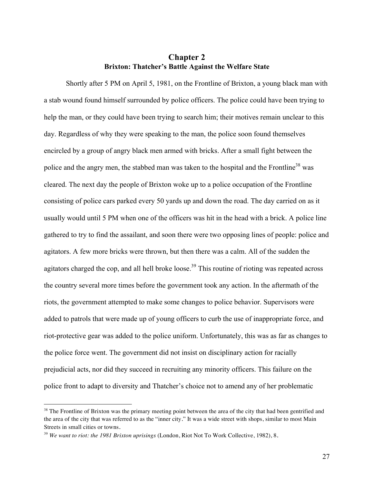#### **Chapter 2 Brixton: Thatcher's Battle Against the Welfare State**

Shortly after 5 PM on April 5, 1981, on the Frontline of Brixton, a young black man with a stab wound found himself surrounded by police officers. The police could have been trying to help the man, or they could have been trying to search him; their motives remain unclear to this day. Regardless of why they were speaking to the man, the police soon found themselves encircled by a group of angry black men armed with bricks. After a small fight between the police and the angry men, the stabbed man was taken to the hospital and the Frontline<sup>38</sup> was cleared. The next day the people of Brixton woke up to a police occupation of the Frontline consisting of police cars parked every 50 yards up and down the road. The day carried on as it usually would until 5 PM when one of the officers was hit in the head with a brick. A police line gathered to try to find the assailant, and soon there were two opposing lines of people: police and agitators. A few more bricks were thrown, but then there was a calm. All of the sudden the agitators charged the cop, and all hell broke loose.<sup>39</sup> This routine of rioting was repeated across the country several more times before the government took any action. In the aftermath of the riots, the government attempted to make some changes to police behavior. Supervisors were added to patrols that were made up of young officers to curb the use of inappropriate force, and riot-protective gear was added to the police uniform. Unfortunately, this was as far as changes to the police force went. The government did not insist on disciplinary action for racially prejudicial acts, nor did they succeed in recruiting any minority officers. This failure on the police front to adapt to diversity and Thatcher's choice not to amend any of her problematic

 

 $38$  The Frontline of Brixton was the primary meeting point between the area of the city that had been gentrified and the area of the city that was referred to as the "inner city." It was a wide street with shops, similar to most Main Streets in small cities or towns.

<sup>39</sup> *We want to riot: the 1981 Brixton uprisings* (London, Riot Not To Work Collective, 1982), 8.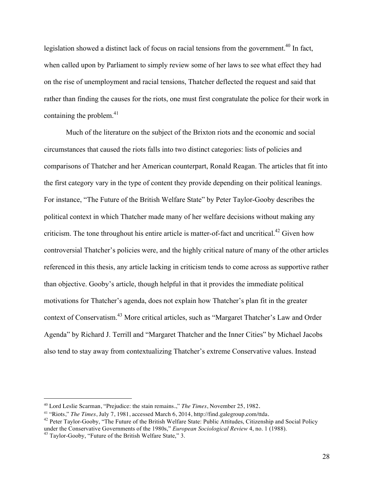legislation showed a distinct lack of focus on racial tensions from the government.<sup>40</sup> In fact, when called upon by Parliament to simply review some of her laws to see what effect they had on the rise of unemployment and racial tensions, Thatcher deflected the request and said that rather than finding the causes for the riots, one must first congratulate the police for their work in containing the problem. $41$ 

Much of the literature on the subject of the Brixton riots and the economic and social circumstances that caused the riots falls into two distinct categories: lists of policies and comparisons of Thatcher and her American counterpart, Ronald Reagan. The articles that fit into the first category vary in the type of content they provide depending on their political leanings. For instance, "The Future of the British Welfare State" by Peter Taylor-Gooby describes the political context in which Thatcher made many of her welfare decisions without making any criticism. The tone throughout his entire article is matter-of-fact and uncritical.<sup>42</sup> Given how controversial Thatcher's policies were, and the highly critical nature of many of the other articles referenced in this thesis, any article lacking in criticism tends to come across as supportive rather than objective. Gooby's article, though helpful in that it provides the immediate political motivations for Thatcher's agenda, does not explain how Thatcher's plan fit in the greater context of Conservatism.43 More critical articles, such as "Margaret Thatcher's Law and Order Agenda" by Richard J. Terrill and "Margaret Thatcher and the Inner Cities" by Michael Jacobs also tend to stay away from contextualizing Thatcher's extreme Conservative values. Instead

<sup>40</sup> Lord Leslie Scarman, "Prejudice: the stain remains.," *The Times*, November 25, 1982.

<sup>&</sup>lt;sup>41</sup> "Riots," *The Times*, July 7, 1981, accessed March 6, 2014, http://find.galegroup.com/ttda.<br><sup>42</sup> Peter Taylor-Gooby, "The Future of the British Welfare State: Public Attitudes, Citizenship and Social Policy

under the Conservative Governments of the 1980s," *European Sociological Review* 4, no. 1 (1988).<br><sup>43</sup> Taylor-Gooby, "Future of the British Welfare State," 3.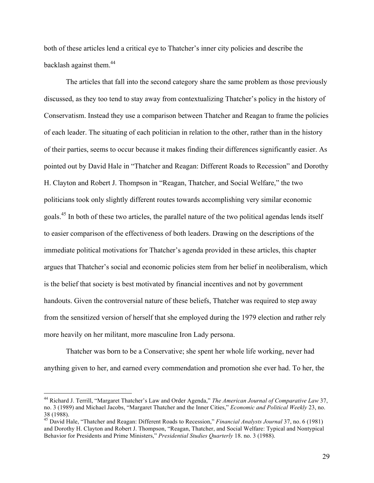both of these articles lend a critical eye to Thatcher's inner city policies and describe the backlash against them.<sup>44</sup>

The articles that fall into the second category share the same problem as those previously discussed, as they too tend to stay away from contextualizing Thatcher's policy in the history of Conservatism. Instead they use a comparison between Thatcher and Reagan to frame the policies of each leader. The situating of each politician in relation to the other, rather than in the history of their parties, seems to occur because it makes finding their differences significantly easier. As pointed out by David Hale in "Thatcher and Reagan: Different Roads to Recession" and Dorothy H. Clayton and Robert J. Thompson in "Reagan, Thatcher, and Social Welfare," the two politicians took only slightly different routes towards accomplishing very similar economic goals.45 In both of these two articles, the parallel nature of the two political agendas lends itself to easier comparison of the effectiveness of both leaders. Drawing on the descriptions of the immediate political motivations for Thatcher's agenda provided in these articles, this chapter argues that Thatcher's social and economic policies stem from her belief in neoliberalism, which is the belief that society is best motivated by financial incentives and not by government handouts. Given the controversial nature of these beliefs, Thatcher was required to step away from the sensitized version of herself that she employed during the 1979 election and rather rely more heavily on her militant, more masculine Iron Lady persona.

Thatcher was born to be a Conservative; she spent her whole life working, never had anything given to her, and earned every commendation and promotion she ever had. To her, the

<sup>44</sup> Richard J. Terrill, "Margaret Thatcher's Law and Order Agenda," *The American Journal of Comparative Law* 37, no. 3 (1989) and Michael Jacobs, "Margaret Thatcher and the Inner Cities," *Economic and Political Weekly* 23, no. 38 (1988).

<sup>45</sup> David Hale, "Thatcher and Reagan: Different Roads to Recession," *Financial Analysts Journal* 37, no. 6 (1981) and Dorothy H. Clayton and Robert J. Thompson, "Reagan, Thatcher, and Social Welfare: Typical and Nontypical Behavior for Presidents and Prime Ministers," *Presidential Studies Quarterly* 18. no. 3 (1988).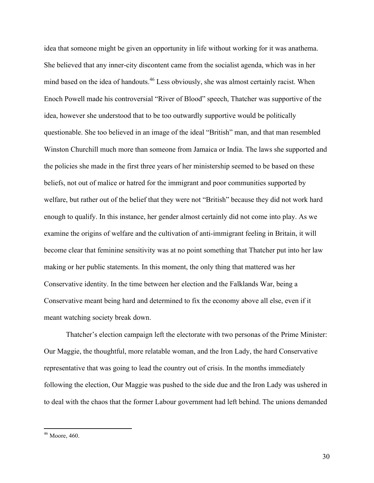idea that someone might be given an opportunity in life without working for it was anathema. She believed that any inner-city discontent came from the socialist agenda, which was in her mind based on the idea of handouts.<sup>46</sup> Less obviously, she was almost certainly racist. When Enoch Powell made his controversial "River of Blood" speech, Thatcher was supportive of the idea, however she understood that to be too outwardly supportive would be politically questionable. She too believed in an image of the ideal "British" man, and that man resembled Winston Churchill much more than someone from Jamaica or India. The laws she supported and the policies she made in the first three years of her ministership seemed to be based on these beliefs, not out of malice or hatred for the immigrant and poor communities supported by welfare, but rather out of the belief that they were not "British" because they did not work hard enough to qualify. In this instance, her gender almost certainly did not come into play. As we examine the origins of welfare and the cultivation of anti-immigrant feeling in Britain, it will become clear that feminine sensitivity was at no point something that Thatcher put into her law making or her public statements. In this moment, the only thing that mattered was her Conservative identity. In the time between her election and the Falklands War, being a Conservative meant being hard and determined to fix the economy above all else, even if it meant watching society break down.

Thatcher's election campaign left the electorate with two personas of the Prime Minister: Our Maggie, the thoughtful, more relatable woman, and the Iron Lady, the hard Conservative representative that was going to lead the country out of crisis. In the months immediately following the election, Our Maggie was pushed to the side due and the Iron Lady was ushered in to deal with the chaos that the former Labour government had left behind. The unions demanded

 <sup>46</sup> Moore, 460.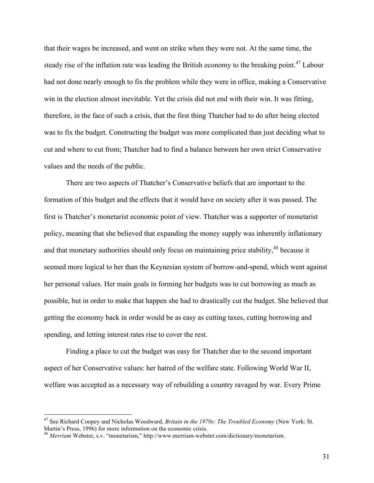that their wages be increased, and went on strike when they were not. At the same time, the steady rise of the inflation rate was leading the British economy to the breaking point.<sup>47</sup> Labour had not done nearly enough to fix the problem while they were in office, making a Conservative win in the election almost inevitable. Yet the crisis did not end with their win. It was fitting, therefore, in the face of such a crisis, that the first thing Thatcher had to do after being elected was to fix the budget. Constructing the budget was more complicated than just deciding what to cut and where to cut from; Thatcher had to find a balance between her own strict Conservative values and the needs of the public.

There are two aspects of Thatcher's Conservative beliefs that are important to the formation of this budget and the effects that it would have on society after it was passed. The first is Thatcher's monetarist economic point of view. Thatcher was a supporter of monetarist policy, meaning that she believed that expanding the money supply was inherently inflationary and that monetary authorities should only focus on maintaining price stability, <sup>48</sup> because it seemed more logical to her than the Keynesian system of borrow-and-spend, which went against her personal values. Her main goals in forming her budgets was to cut borrowing as much as possible, but in order to make that happen she had to drastically cut the budget. She believed that getting the economy back in order would be as easy as cutting taxes, cutting borrowing and spending, and letting interest rates rise to cover the rest.

Finding a place to cut the budget was easy for Thatcher due to the second important aspect of her Conservative values: her hatred of the welfare state. Following World War II, welfare was accepted as a necessary way of rebuilding a country ravaged by war. Every Prime

 <sup>47</sup> See Richard Coopey and Nicholas Woodward, *Britain in the 1970s: The Troubled Economy* (New York: St. Martin's Press, 1996) for more information on the economic crisis.

<sup>48</sup> *Merriam* Webster, s.v. "monetarism," http://www.merriam-webster.com/dictionary/monetarism.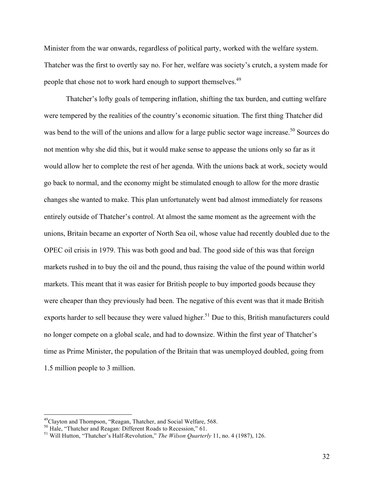Minister from the war onwards, regardless of political party, worked with the welfare system. Thatcher was the first to overtly say no. For her, welfare was society's crutch, a system made for people that chose not to work hard enough to support themselves.49

Thatcher's lofty goals of tempering inflation, shifting the tax burden, and cutting welfare were tempered by the realities of the country's economic situation. The first thing Thatcher did was bend to the will of the unions and allow for a large public sector wage increase.<sup>50</sup> Sources do not mention why she did this, but it would make sense to appease the unions only so far as it would allow her to complete the rest of her agenda. With the unions back at work, society would go back to normal, and the economy might be stimulated enough to allow for the more drastic changes she wanted to make. This plan unfortunately went bad almost immediately for reasons entirely outside of Thatcher's control. At almost the same moment as the agreement with the unions, Britain became an exporter of North Sea oil, whose value had recently doubled due to the OPEC oil crisis in 1979. This was both good and bad. The good side of this was that foreign markets rushed in to buy the oil and the pound, thus raising the value of the pound within world markets. This meant that it was easier for British people to buy imported goods because they were cheaper than they previously had been. The negative of this event was that it made British exports harder to sell because they were valued higher.<sup>51</sup> Due to this, British manufacturers could no longer compete on a global scale, and had to downsize. Within the first year of Thatcher's time as Prime Minister, the population of the Britain that was unemployed doubled, going from 1.5 million people to 3 million.

<sup>&</sup>lt;sup>49</sup>Clayton and Thompson, "Reagan, Thatcher, and Social Welfare, 568.<br><sup>50</sup> Hale, "Thatcher and Reagan: Different Roads to Recession," 61.

<sup>&</sup>lt;sup>51</sup> Will Hutton, "Thatcher's Half-Revolution," *The Wilson Quarterly* 11, no. 4 (1987), 126.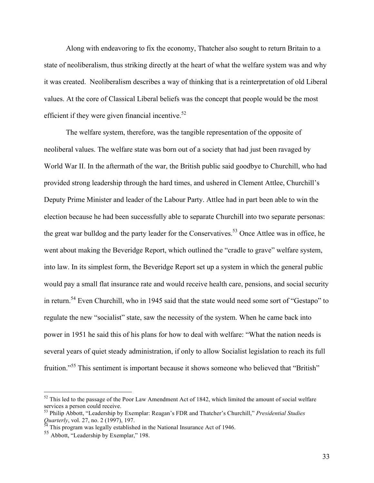Along with endeavoring to fix the economy, Thatcher also sought to return Britain to a state of neoliberalism, thus striking directly at the heart of what the welfare system was and why it was created. Neoliberalism describes a way of thinking that is a reinterpretation of old Liberal values. At the core of Classical Liberal beliefs was the concept that people would be the most efficient if they were given financial incentive. $52$ 

The welfare system, therefore, was the tangible representation of the opposite of neoliberal values. The welfare state was born out of a society that had just been ravaged by World War II. In the aftermath of the war, the British public said goodbye to Churchill, who had provided strong leadership through the hard times, and ushered in Clement Attlee, Churchill's Deputy Prime Minister and leader of the Labour Party. Attlee had in part been able to win the election because he had been successfully able to separate Churchill into two separate personas: the great war bulldog and the party leader for the Conservatives.<sup>53</sup> Once Attlee was in office, he went about making the Beveridge Report, which outlined the "cradle to grave" welfare system, into law. In its simplest form, the Beveridge Report set up a system in which the general public would pay a small flat insurance rate and would receive health care, pensions, and social security in return.54 Even Churchill, who in 1945 said that the state would need some sort of "Gestapo" to regulate the new "socialist" state, saw the necessity of the system. When he came back into power in 1951 he said this of his plans for how to deal with welfare: "What the nation needs is several years of quiet steady administration, if only to allow Socialist legislation to reach its full fruition."<sup>55</sup> This sentiment is important because it shows someone who believed that "British"

 $52$  This led to the passage of the Poor Law Amendment Act of 1842, which limited the amount of social welfare services a person could receive.

<sup>53</sup> Philip Abbott, "Leadership by Exemplar: Reagan's FDR and Thatcher's Churchill," *Presidential Studies Quarterly*, vol. 27, no. 2 (1997), 197.<br><sup>54</sup> This program was legally established in the National Insurance Act of 1946.

<sup>55</sup> Abbott, "Leadership by Exemplar," 198.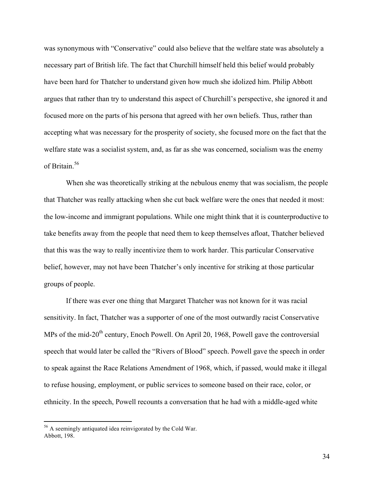was synonymous with "Conservative" could also believe that the welfare state was absolutely a necessary part of British life. The fact that Churchill himself held this belief would probably have been hard for Thatcher to understand given how much she idolized him. Philip Abbott argues that rather than try to understand this aspect of Churchill's perspective, she ignored it and focused more on the parts of his persona that agreed with her own beliefs. Thus, rather than accepting what was necessary for the prosperity of society, she focused more on the fact that the welfare state was a socialist system, and, as far as she was concerned, socialism was the enemy of Britain<sup>56</sup>

When she was theoretically striking at the nebulous enemy that was socialism, the people that Thatcher was really attacking when she cut back welfare were the ones that needed it most: the low-income and immigrant populations. While one might think that it is counterproductive to take benefits away from the people that need them to keep themselves afloat, Thatcher believed that this was the way to really incentivize them to work harder. This particular Conservative belief, however, may not have been Thatcher's only incentive for striking at those particular groups of people.

If there was ever one thing that Margaret Thatcher was not known for it was racial sensitivity. In fact, Thatcher was a supporter of one of the most outwardly racist Conservative MPs of the mid-20<sup>th</sup> century, Enoch Powell. On April 20, 1968, Powell gave the controversial speech that would later be called the "Rivers of Blood" speech. Powell gave the speech in order to speak against the Race Relations Amendment of 1968, which, if passed, would make it illegal to refuse housing, employment, or public services to someone based on their race, color, or ethnicity. In the speech, Powell recounts a conversation that he had with a middle-aged white

 <sup>56</sup> A seemingly antiquated idea reinvigorated by the Cold War. Abbott, 198.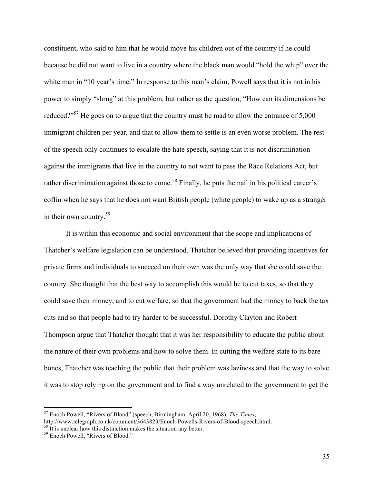constituent, who said to him that he would move his children out of the country if he could because he did not want to live in a country where the black man would "hold the whip" over the white man in "10 year's time." In response to this man's claim, Powell says that it is not in his power to simply "shrug" at this problem, but rather as the question, "How can its dimensions be reduced?"<sup>57</sup> He goes on to argue that the country must be mad to allow the entrance of  $5,000$ immigrant children per year, and that to allow them to settle is an even worse problem. The rest of the speech only continues to escalate the hate speech, saying that it is not discrimination against the immigrants that live in the country to not want to pass the Race Relations Act, but rather discrimination against those to come.<sup>58</sup> Finally, he puts the nail in his political career's coffin when he says that he does not want British people (white people) to wake up as a stranger in their own country.59

It is within this economic and social environment that the scope and implications of Thatcher's welfare legislation can be understood. Thatcher believed that providing incentives for private firms and individuals to succeed on their own was the only way that she could save the country. She thought that the best way to accomplish this would be to cut taxes, so that they could save their money, and to cut welfare, so that the government had the money to back the tax cuts and so that people had to try harder to be successful. Dorothy Clayton and Robert Thompson argue that Thatcher thought that it was her responsibility to educate the public about the nature of their own problems and how to solve them. In cutting the welfare state to its bare bones, Thatcher was teaching the public that their problem was laziness and that the way to solve it was to stop relying on the government and to find a way unrelated to the government to get the

<sup>&</sup>lt;sup>57</sup> Enoch Powell, "Rivers of Blood" (speech, Birmingham, April 20, 1968), *The Times*, http://www.telegraph.co.uk/comment/3643823/Enoch-Powells-Rivers-of-Blood-speech.html.

<sup>&</sup>lt;sup>58</sup> It is unclear how this distinction makes the situation any better.<br><sup>59</sup> Enoch Powell, "Rivers of Blood."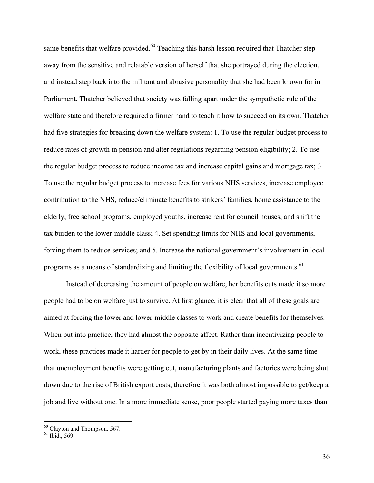same benefits that welfare provided.<sup>60</sup> Teaching this harsh lesson required that Thatcher step away from the sensitive and relatable version of herself that she portrayed during the election, and instead step back into the militant and abrasive personality that she had been known for in Parliament. Thatcher believed that society was falling apart under the sympathetic rule of the welfare state and therefore required a firmer hand to teach it how to succeed on its own. Thatcher had five strategies for breaking down the welfare system: 1. To use the regular budget process to reduce rates of growth in pension and alter regulations regarding pension eligibility; 2. To use the regular budget process to reduce income tax and increase capital gains and mortgage tax; 3. To use the regular budget process to increase fees for various NHS services, increase employee contribution to the NHS, reduce/eliminate benefits to strikers' families, home assistance to the elderly, free school programs, employed youths, increase rent for council houses, and shift the tax burden to the lower-middle class; 4. Set spending limits for NHS and local governments, forcing them to reduce services; and 5. Increase the national government's involvement in local programs as a means of standardizing and limiting the flexibility of local governments.<sup>61</sup>

Instead of decreasing the amount of people on welfare, her benefits cuts made it so more people had to be on welfare just to survive. At first glance, it is clear that all of these goals are aimed at forcing the lower and lower-middle classes to work and create benefits for themselves. When put into practice, they had almost the opposite affect. Rather than incentivizing people to work, these practices made it harder for people to get by in their daily lives. At the same time that unemployment benefits were getting cut, manufacturing plants and factories were being shut down due to the rise of British export costs, therefore it was both almost impossible to get/keep a job and live without one. In a more immediate sense, poor people started paying more taxes than

 $^{60}$  Clayton and Thompson, 567.<br> $^{61}$  Ibid., 569.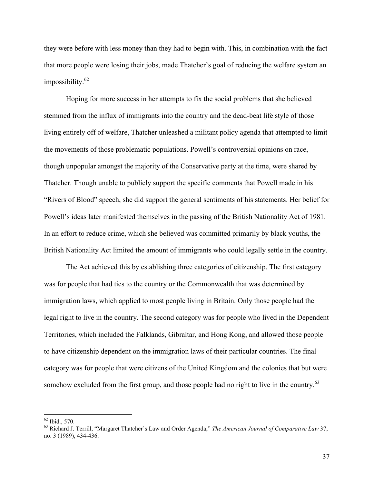they were before with less money than they had to begin with. This, in combination with the fact that more people were losing their jobs, made Thatcher's goal of reducing the welfare system an impossibility. $62$ 

Hoping for more success in her attempts to fix the social problems that she believed stemmed from the influx of immigrants into the country and the dead-beat life style of those living entirely off of welfare, Thatcher unleashed a militant policy agenda that attempted to limit the movements of those problematic populations. Powell's controversial opinions on race, though unpopular amongst the majority of the Conservative party at the time, were shared by Thatcher. Though unable to publicly support the specific comments that Powell made in his "Rivers of Blood" speech, she did support the general sentiments of his statements. Her belief for Powell's ideas later manifested themselves in the passing of the British Nationality Act of 1981. In an effort to reduce crime, which she believed was committed primarily by black youths, the British Nationality Act limited the amount of immigrants who could legally settle in the country.

The Act achieved this by establishing three categories of citizenship. The first category was for people that had ties to the country or the Commonwealth that was determined by immigration laws, which applied to most people living in Britain. Only those people had the legal right to live in the country. The second category was for people who lived in the Dependent Territories, which included the Falklands, Gibraltar, and Hong Kong, and allowed those people to have citizenship dependent on the immigration laws of their particular countries. The final category was for people that were citizens of the United Kingdom and the colonies that but were somehow excluded from the first group, and those people had no right to live in the country.<sup>63</sup>

 <sup>62</sup> Ibid., 570. <sup>63</sup> Richard J. Terrill, "Margaret Thatcher's Law and Order Agenda," *The American Journal of Comparative Law* 37, no. 3 (1989), 434-436.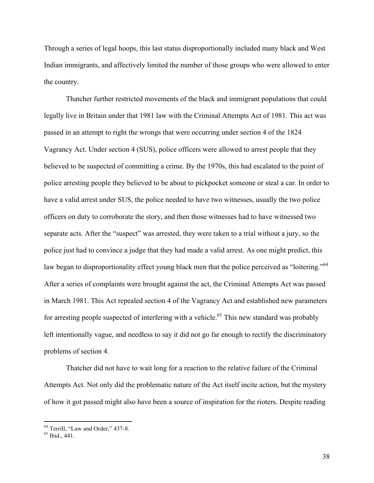Through a series of legal hoops, this last status disproportionally included many black and West Indian immigrants, and affectively limited the number of those groups who were allowed to enter the country.

Thatcher further restricted movements of the black and immigrant populations that could legally live in Britain under that 1981 law with the Criminal Attempts Act of 1981. This act was passed in an attempt to right the wrongs that were occurring under section 4 of the 1824 Vagrancy Act. Under section 4 (SUS), police officers were allowed to arrest people that they believed to be suspected of committing a crime. By the 1970s, this had escalated to the point of police arresting people they believed to be about to pickpocket someone or steal a car. In order to have a valid arrest under SUS, the police needed to have two witnesses, usually the two police officers on duty to corroborate the story, and then those witnesses had to have witnessed two separate acts. After the "suspect" was arrested, they were taken to a trial without a jury, so the police just had to convince a judge that they had made a valid arrest. As one might predict, this law began to disproportionality effect young black men that the police perceived as "loitering."<sup>64</sup> After a series of complaints were brought against the act, the Criminal Attempts Act was passed in March 1981. This Act repealed section 4 of the Vagrancy Act and established new parameters for arresting people suspected of interfering with a vehicle.<sup>65</sup> This new standard was probably left intentionally vague, and needless to say it did not go far enough to rectify the discriminatory problems of section 4.

Thatcher did not have to wait long for a reaction to the relative failure of the Criminal Attempts Act. Not only did the problematic nature of the Act itself incite action, but the mystery of how it got passed might also have been a source of inspiration for the rioters. Despite reading

 $^{64}$  Terrill, "Law and Order," 437-8.<br> $^{65}$  Ibid., 441.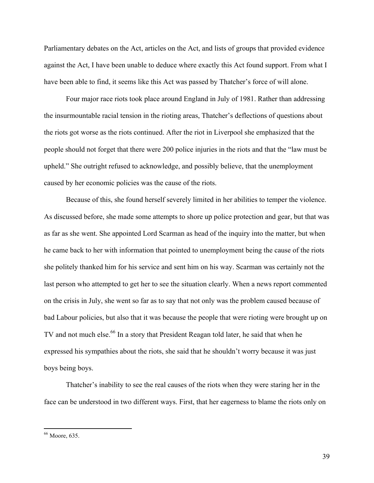Parliamentary debates on the Act, articles on the Act, and lists of groups that provided evidence against the Act, I have been unable to deduce where exactly this Act found support. From what I have been able to find, it seems like this Act was passed by Thatcher's force of will alone.

Four major race riots took place around England in July of 1981. Rather than addressing the insurmountable racial tension in the rioting areas, Thatcher's deflections of questions about the riots got worse as the riots continued. After the riot in Liverpool she emphasized that the people should not forget that there were 200 police injuries in the riots and that the "law must be upheld." She outright refused to acknowledge, and possibly believe, that the unemployment caused by her economic policies was the cause of the riots.

Because of this, she found herself severely limited in her abilities to temper the violence. As discussed before, she made some attempts to shore up police protection and gear, but that was as far as she went. She appointed Lord Scarman as head of the inquiry into the matter, but when he came back to her with information that pointed to unemployment being the cause of the riots she politely thanked him for his service and sent him on his way. Scarman was certainly not the last person who attempted to get her to see the situation clearly. When a news report commented on the crisis in July, she went so far as to say that not only was the problem caused because of bad Labour policies, but also that it was because the people that were rioting were brought up on TV and not much else.<sup>66</sup> In a story that President Reagan told later, he said that when he expressed his sympathies about the riots, she said that he shouldn't worry because it was just boys being boys.

Thatcher's inability to see the real causes of the riots when they were staring her in the face can be understood in two different ways. First, that her eagerness to blame the riots only on

 <sup>66</sup> Moore, 635.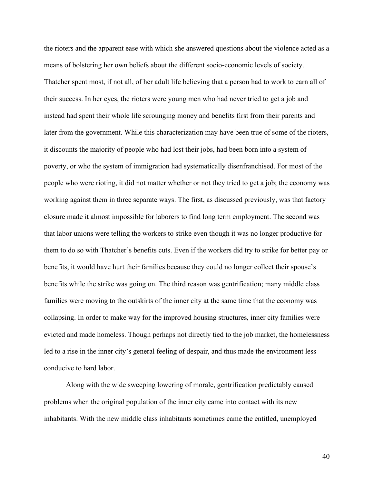the rioters and the apparent ease with which she answered questions about the violence acted as a means of bolstering her own beliefs about the different socio-economic levels of society. Thatcher spent most, if not all, of her adult life believing that a person had to work to earn all of their success. In her eyes, the rioters were young men who had never tried to get a job and instead had spent their whole life scrounging money and benefits first from their parents and later from the government. While this characterization may have been true of some of the rioters, it discounts the majority of people who had lost their jobs, had been born into a system of poverty, or who the system of immigration had systematically disenfranchised. For most of the people who were rioting, it did not matter whether or not they tried to get a job; the economy was working against them in three separate ways. The first, as discussed previously, was that factory closure made it almost impossible for laborers to find long term employment. The second was that labor unions were telling the workers to strike even though it was no longer productive for them to do so with Thatcher's benefits cuts. Even if the workers did try to strike for better pay or benefits, it would have hurt their families because they could no longer collect their spouse's benefits while the strike was going on. The third reason was gentrification; many middle class families were moving to the outskirts of the inner city at the same time that the economy was collapsing. In order to make way for the improved housing structures, inner city families were evicted and made homeless. Though perhaps not directly tied to the job market, the homelessness led to a rise in the inner city's general feeling of despair, and thus made the environment less conducive to hard labor.

Along with the wide sweeping lowering of morale, gentrification predictably caused problems when the original population of the inner city came into contact with its new inhabitants. With the new middle class inhabitants sometimes came the entitled, unemployed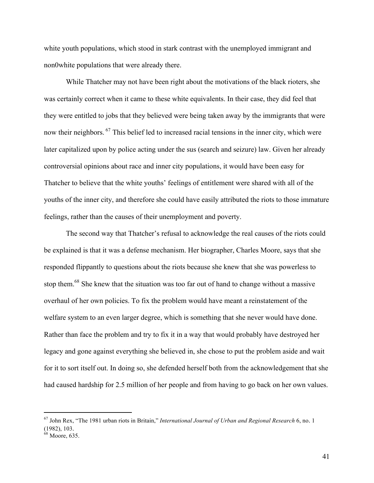white youth populations, which stood in stark contrast with the unemployed immigrant and non0white populations that were already there.

While Thatcher may not have been right about the motivations of the black rioters, she was certainly correct when it came to these white equivalents. In their case, they did feel that they were entitled to jobs that they believed were being taken away by the immigrants that were now their neighbors. <sup>67</sup> This belief led to increased racial tensions in the inner city, which were later capitalized upon by police acting under the sus (search and seizure) law. Given her already controversial opinions about race and inner city populations, it would have been easy for Thatcher to believe that the white youths' feelings of entitlement were shared with all of the youths of the inner city, and therefore she could have easily attributed the riots to those immature feelings, rather than the causes of their unemployment and poverty.

The second way that Thatcher's refusal to acknowledge the real causes of the riots could be explained is that it was a defense mechanism. Her biographer, Charles Moore, says that she responded flippantly to questions about the riots because she knew that she was powerless to stop them.<sup>68</sup> She knew that the situation was too far out of hand to change without a massive overhaul of her own policies. To fix the problem would have meant a reinstatement of the welfare system to an even larger degree, which is something that she never would have done. Rather than face the problem and try to fix it in a way that would probably have destroyed her legacy and gone against everything she believed in, she chose to put the problem aside and wait for it to sort itself out. In doing so, she defended herself both from the acknowledgement that she had caused hardship for 2.5 million of her people and from having to go back on her own values.

<sup>67</sup> John Rex, "The 1981 urban riots in Britain," *International Journal of Urban and Regional Research* 6, no. 1 (1982), 103.<br><sup>68</sup> Moore, 635.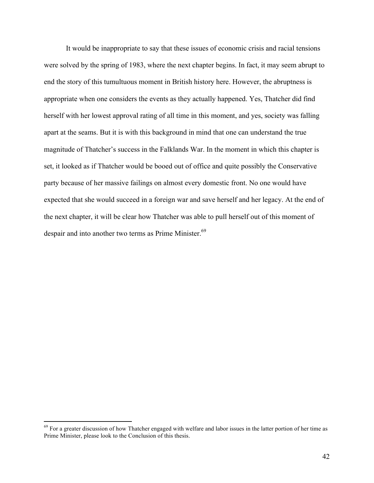It would be inappropriate to say that these issues of economic crisis and racial tensions were solved by the spring of 1983, where the next chapter begins. In fact, it may seem abrupt to end the story of this tumultuous moment in British history here. However, the abruptness is appropriate when one considers the events as they actually happened. Yes, Thatcher did find herself with her lowest approval rating of all time in this moment, and yes, society was falling apart at the seams. But it is with this background in mind that one can understand the true magnitude of Thatcher's success in the Falklands War. In the moment in which this chapter is set, it looked as if Thatcher would be booed out of office and quite possibly the Conservative party because of her massive failings on almost every domestic front. No one would have expected that she would succeed in a foreign war and save herself and her legacy. At the end of the next chapter, it will be clear how Thatcher was able to pull herself out of this moment of despair and into another two terms as Prime Minister.<sup>69</sup>

<sup>&</sup>lt;sup>69</sup> For a greater discussion of how Thatcher engaged with welfare and labor issues in the latter portion of her time as Prime Minister, please look to the Conclusion of this thesis.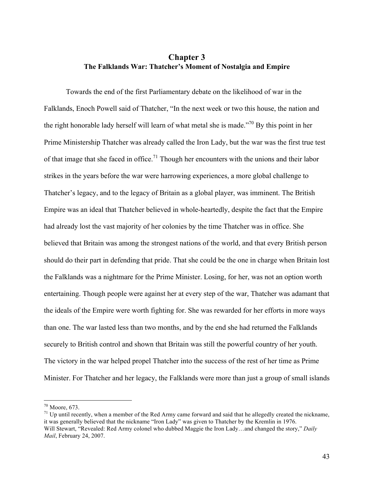## **Chapter 3 The Falklands War: Thatcher's Moment of Nostalgia and Empire**

Towards the end of the first Parliamentary debate on the likelihood of war in the Falklands, Enoch Powell said of Thatcher, "In the next week or two this house, the nation and the right honorable lady herself will learn of what metal she is made.<sup> $270$ </sup> By this point in her Prime Ministership Thatcher was already called the Iron Lady, but the war was the first true test of that image that she faced in office.<sup>71</sup> Though her encounters with the unions and their labor strikes in the years before the war were harrowing experiences, a more global challenge to Thatcher's legacy, and to the legacy of Britain as a global player, was imminent. The British Empire was an ideal that Thatcher believed in whole-heartedly, despite the fact that the Empire had already lost the vast majority of her colonies by the time Thatcher was in office. She believed that Britain was among the strongest nations of the world, and that every British person should do their part in defending that pride. That she could be the one in charge when Britain lost the Falklands was a nightmare for the Prime Minister. Losing, for her, was not an option worth entertaining. Though people were against her at every step of the war, Thatcher was adamant that the ideals of the Empire were worth fighting for. She was rewarded for her efforts in more ways than one. The war lasted less than two months, and by the end she had returned the Falklands securely to British control and shown that Britain was still the powerful country of her youth. The victory in the war helped propel Thatcher into the success of the rest of her time as Prime Minister. For Thatcher and her legacy, the Falklands were more than just a group of small islands

<sup>&</sup>lt;sup>70</sup> Moore, 673.<br><sup>71</sup> Up until recently, when a member of the Red Army came forward and said that he allegedly created the nickname, it was generally believed that the nickname "Iron Lady" was given to Thatcher by the Kremlin in 1976. Will Stewart, "Revealed: Red Army colonel who dubbed Maggie the Iron Lady…and changed the story," *Daily Mail*, February 24, 2007.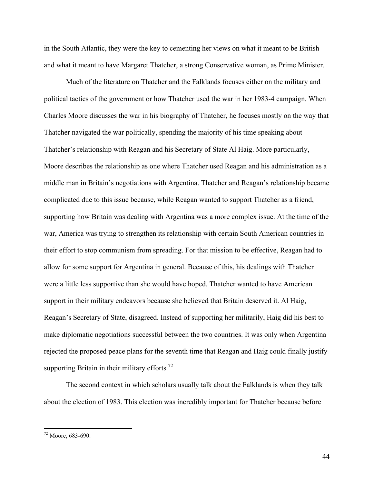in the South Atlantic, they were the key to cementing her views on what it meant to be British and what it meant to have Margaret Thatcher, a strong Conservative woman, as Prime Minister.

Much of the literature on Thatcher and the Falklands focuses either on the military and political tactics of the government or how Thatcher used the war in her 1983-4 campaign. When Charles Moore discusses the war in his biography of Thatcher, he focuses mostly on the way that Thatcher navigated the war politically, spending the majority of his time speaking about Thatcher's relationship with Reagan and his Secretary of State Al Haig. More particularly, Moore describes the relationship as one where Thatcher used Reagan and his administration as a middle man in Britain's negotiations with Argentina. Thatcher and Reagan's relationship became complicated due to this issue because, while Reagan wanted to support Thatcher as a friend, supporting how Britain was dealing with Argentina was a more complex issue. At the time of the war, America was trying to strengthen its relationship with certain South American countries in their effort to stop communism from spreading. For that mission to be effective, Reagan had to allow for some support for Argentina in general. Because of this, his dealings with Thatcher were a little less supportive than she would have hoped. Thatcher wanted to have American support in their military endeavors because she believed that Britain deserved it. Al Haig, Reagan's Secretary of State, disagreed. Instead of supporting her militarily, Haig did his best to make diplomatic negotiations successful between the two countries. It was only when Argentina rejected the proposed peace plans for the seventh time that Reagan and Haig could finally justify supporting Britain in their military efforts.<sup>72</sup>

The second context in which scholars usually talk about the Falklands is when they talk about the election of 1983. This election was incredibly important for Thatcher because before

 $72$  Moore, 683-690.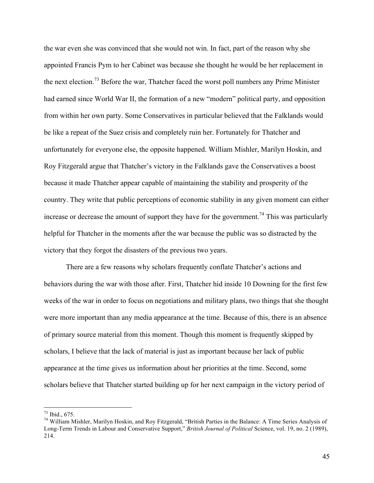the war even she was convinced that she would not win. In fact, part of the reason why she appointed Francis Pym to her Cabinet was because she thought he would be her replacement in the next election.<sup>73</sup> Before the war, Thatcher faced the worst poll numbers any Prime Minister had earned since World War II, the formation of a new "modern" political party, and opposition from within her own party. Some Conservatives in particular believed that the Falklands would be like a repeat of the Suez crisis and completely ruin her. Fortunately for Thatcher and unfortunately for everyone else, the opposite happened. William Mishler, Marilyn Hoskin, and Roy Fitzgerald argue that Thatcher's victory in the Falklands gave the Conservatives a boost because it made Thatcher appear capable of maintaining the stability and prosperity of the country. They write that public perceptions of economic stability in any given moment can either increase or decrease the amount of support they have for the government.<sup>74</sup> This was particularly helpful for Thatcher in the moments after the war because the public was so distracted by the victory that they forgot the disasters of the previous two years.

There are a few reasons why scholars frequently conflate Thatcher's actions and behaviors during the war with those after. First, Thatcher hid inside 10 Downing for the first few weeks of the war in order to focus on negotiations and military plans, two things that she thought were more important than any media appearance at the time. Because of this, there is an absence of primary source material from this moment. Though this moment is frequently skipped by scholars, I believe that the lack of material is just as important because her lack of public appearance at the time gives us information about her priorities at the time. Second, some scholars believe that Thatcher started building up for her next campaign in the victory period of

<sup>&</sup>lt;sup>73</sup> Ibid., 675.<br><sup>74</sup> William Mishler, Marilyn Hoskin, and Roy Fitzgerald, "British Parties in the Balance: A Time Series Analysis of Long-Term Trends in Labour and Conservative Support," *British Journal of Political* Science, vol. 19, no. 2 (1989), 214.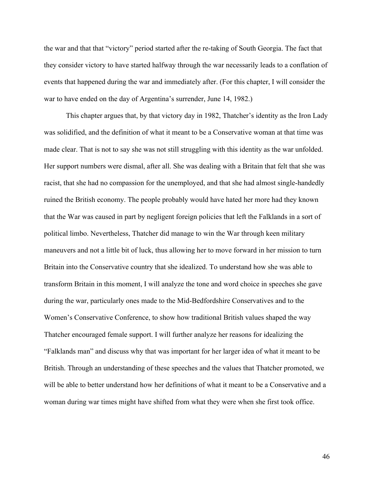the war and that that "victory" period started after the re-taking of South Georgia. The fact that they consider victory to have started halfway through the war necessarily leads to a conflation of events that happened during the war and immediately after. (For this chapter, I will consider the war to have ended on the day of Argentina's surrender, June 14, 1982.)

This chapter argues that, by that victory day in 1982, Thatcher's identity as the Iron Lady was solidified, and the definition of what it meant to be a Conservative woman at that time was made clear. That is not to say she was not still struggling with this identity as the war unfolded. Her support numbers were dismal, after all. She was dealing with a Britain that felt that she was racist, that she had no compassion for the unemployed, and that she had almost single-handedly ruined the British economy. The people probably would have hated her more had they known that the War was caused in part by negligent foreign policies that left the Falklands in a sort of political limbo. Nevertheless, Thatcher did manage to win the War through keen military maneuvers and not a little bit of luck, thus allowing her to move forward in her mission to turn Britain into the Conservative country that she idealized. To understand how she was able to transform Britain in this moment, I will analyze the tone and word choice in speeches she gave during the war, particularly ones made to the Mid-Bedfordshire Conservatives and to the Women's Conservative Conference, to show how traditional British values shaped the way Thatcher encouraged female support. I will further analyze her reasons for idealizing the "Falklands man" and discuss why that was important for her larger idea of what it meant to be British. Through an understanding of these speeches and the values that Thatcher promoted, we will be able to better understand how her definitions of what it meant to be a Conservative and a woman during war times might have shifted from what they were when she first took office.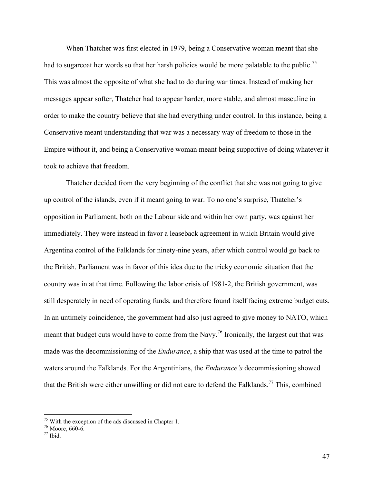When Thatcher was first elected in 1979, being a Conservative woman meant that she had to sugarcoat her words so that her harsh policies would be more palatable to the public.<sup>75</sup> This was almost the opposite of what she had to do during war times. Instead of making her messages appear softer, Thatcher had to appear harder, more stable, and almost masculine in order to make the country believe that she had everything under control. In this instance, being a Conservative meant understanding that war was a necessary way of freedom to those in the Empire without it, and being a Conservative woman meant being supportive of doing whatever it took to achieve that freedom.

Thatcher decided from the very beginning of the conflict that she was not going to give up control of the islands, even if it meant going to war. To no one's surprise, Thatcher's opposition in Parliament, both on the Labour side and within her own party, was against her immediately. They were instead in favor a leaseback agreement in which Britain would give Argentina control of the Falklands for ninety-nine years, after which control would go back to the British. Parliament was in favor of this idea due to the tricky economic situation that the country was in at that time. Following the labor crisis of 1981-2, the British government, was still desperately in need of operating funds, and therefore found itself facing extreme budget cuts. In an untimely coincidence, the government had also just agreed to give money to NATO, which meant that budget cuts would have to come from the Navy.<sup>76</sup> Ironically, the largest cut that was made was the decommissioning of the *Endurance*, a ship that was used at the time to patrol the waters around the Falklands. For the Argentinians, the *Endurance's* decommissioning showed that the British were either unwilling or did not care to defend the Falklands.<sup>77</sup> This, combined

<sup>&</sup>lt;sup>75</sup> With the exception of the ads discussed in Chapter 1.  $\frac{76}{7}$  Moore, 660-6.  $\frac{77}{7}$  Ibid.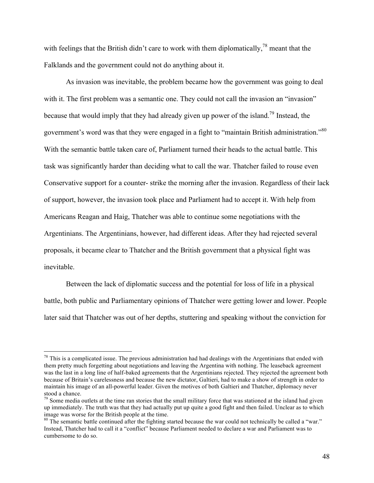with feelings that the British didn't care to work with them diplomatically,<sup>78</sup> meant that the Falklands and the government could not do anything about it.

As invasion was inevitable, the problem became how the government was going to deal with it. The first problem was a semantic one. They could not call the invasion an "invasion" because that would imply that they had already given up power of the island.79 Instead, the government's word was that they were engaged in a fight to "maintain British administration."<sup>80</sup> With the semantic battle taken care of, Parliament turned their heads to the actual battle. This task was significantly harder than deciding what to call the war. Thatcher failed to rouse even Conservative support for a counter- strike the morning after the invasion. Regardless of their lack of support, however, the invasion took place and Parliament had to accept it. With help from Americans Reagan and Haig, Thatcher was able to continue some negotiations with the Argentinians. The Argentinians, however, had different ideas. After they had rejected several proposals, it became clear to Thatcher and the British government that a physical fight was inevitable.

Between the lack of diplomatic success and the potential for loss of life in a physical battle, both public and Parliamentary opinions of Thatcher were getting lower and lower. People later said that Thatcher was out of her depths, stuttering and speaking without the conviction for

 $78$  This is a complicated issue. The previous administration had had dealings with the Argentinians that ended with them pretty much forgetting about negotiations and leaving the Argentina with nothing. The leaseback agreement was the last in a long line of half-baked agreements that the Argentinians rejected. They rejected the agreement both because of Britain's carelessness and because the new dictator, Galtieri, had to make a show of strength in order to maintain his image of an all-powerful leader. Given the motives of both Galtieri and Thatcher, diplomacy never stood a chance.

 $79$  Some media outlets at the time ran stories that the small military force that was stationed at the island had given up immediately. The truth was that they had actually put up quite a good fight and then failed. Unclear as to which image was worse for the British people at the time.

<sup>&</sup>lt;sup>80</sup> The semantic battle continued after the fighting started because the war could not technically be called a "war." Instead, Thatcher had to call it a "conflict" because Parliament needed to declare a war and Parliament was to cumbersome to do so.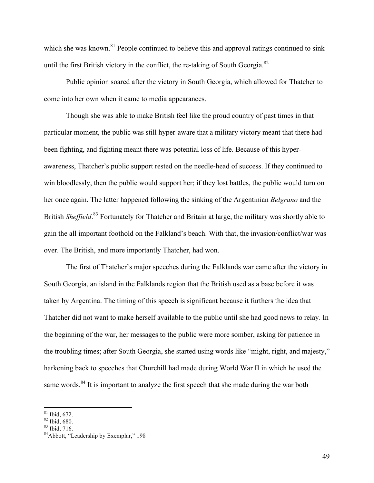which she was known.<sup>81</sup> People continued to believe this and approval ratings continued to sink until the first British victory in the conflict, the re-taking of South Georgia.<sup>82</sup>

Public opinion soared after the victory in South Georgia, which allowed for Thatcher to come into her own when it came to media appearances.

Though she was able to make British feel like the proud country of past times in that particular moment, the public was still hyper-aware that a military victory meant that there had been fighting, and fighting meant there was potential loss of life. Because of this hyperawareness, Thatcher's public support rested on the needle-head of success. If they continued to win bloodlessly, then the public would support her; if they lost battles, the public would turn on her once again. The latter happened following the sinking of the Argentinian *Belgrano* and the British *Sheffield*.<sup>83</sup> Fortunately for Thatcher and Britain at large, the military was shortly able to gain the all important foothold on the Falkland's beach. With that, the invasion/conflict/war was over. The British, and more importantly Thatcher, had won.

The first of Thatcher's major speeches during the Falklands war came after the victory in South Georgia, an island in the Falklands region that the British used as a base before it was taken by Argentina. The timing of this speech is significant because it furthers the idea that Thatcher did not want to make herself available to the public until she had good news to relay. In the beginning of the war, her messages to the public were more somber, asking for patience in the troubling times; after South Georgia, she started using words like "might, right, and majesty," harkening back to speeches that Churchill had made during World War II in which he used the same words.<sup>84</sup> It is important to analyze the first speech that she made during the war both

<sup>&</sup>lt;sup>81</sup> Ibid, 672.<br><sup>82</sup> Ibid, 680.<br><sup>83</sup> Ibid, 716.<br><sup>84</sup>Abbott, "Leadership by Exemplar," 198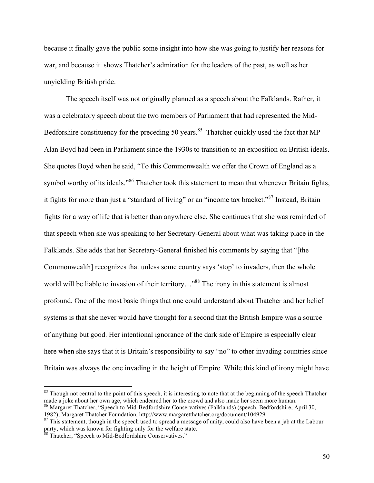because it finally gave the public some insight into how she was going to justify her reasons for war, and because it shows Thatcher's admiration for the leaders of the past, as well as her unyielding British pride.

The speech itself was not originally planned as a speech about the Falklands. Rather, it was a celebratory speech about the two members of Parliament that had represented the Mid-Bedforshire constituency for the preceding 50 years.<sup>85</sup> Thatcher quickly used the fact that MP Alan Boyd had been in Parliament since the 1930s to transition to an exposition on British ideals. She quotes Boyd when he said, "To this Commonwealth we offer the Crown of England as a symbol worthy of its ideals."<sup>86</sup> Thatcher took this statement to mean that whenever Britain fights, it fights for more than just a "standard of living" or an "income tax bracket."87 Instead, Britain fights for a way of life that is better than anywhere else. She continues that she was reminded of that speech when she was speaking to her Secretary-General about what was taking place in the Falklands. She adds that her Secretary-General finished his comments by saying that "[the Commonwealth] recognizes that unless some country says 'stop' to invaders, then the whole world will be liable to invasion of their territory..."<sup>88</sup> The irony in this statement is almost profound. One of the most basic things that one could understand about Thatcher and her belief systems is that she never would have thought for a second that the British Empire was a source of anything but good. Her intentional ignorance of the dark side of Empire is especially clear here when she says that it is Britain's responsibility to say "no" to other invading countries since Britain was always the one invading in the height of Empire. While this kind of irony might have

<sup>&</sup>lt;sup>85</sup> Though not central to the point of this speech, it is interesting to note that at the beginning of the speech Thatcher made a joke about her own age, which endeared her to the crowd and also made her seem more human.

<sup>86</sup> Margaret Thatcher, "Speech to Mid-Bedfordshire Conservatives (Falklands) (speech, Bedfordshire, April 30,

<sup>1982),</sup> Margaret Thatcher Foundation, http://www.margaretthatcher.org/document/104929. 87 This statement, though in the speech used to spread a message of unity, could also have been a jab at the Labour party, which was known for fighting only for the welfare state. <sup>88</sup> Thatcher, "Speech to Mid-Bedfordshire Conservatives."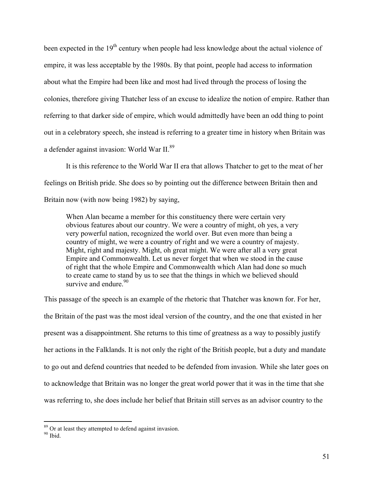been expected in the 19<sup>th</sup> century when people had less knowledge about the actual violence of empire, it was less acceptable by the 1980s. By that point, people had access to information about what the Empire had been like and most had lived through the process of losing the colonies, therefore giving Thatcher less of an excuse to idealize the notion of empire. Rather than referring to that darker side of empire, which would admittedly have been an odd thing to point out in a celebratory speech, she instead is referring to a greater time in history when Britain was a defender against invasion: World War II.89

It is this reference to the World War II era that allows Thatcher to get to the meat of her feelings on British pride. She does so by pointing out the difference between Britain then and Britain now (with now being 1982) by saying,

When Alan became a member for this constituency there were certain very obvious features about our country. We were a country of might, oh yes, a very very powerful nation, recognized the world over. But even more than being a country of might, we were a country of right and we were a country of majesty. Might, right and majesty. Might, oh great might. We were after all a very great Empire and Commonwealth. Let us never forget that when we stood in the cause of right that the whole Empire and Commonwealth which Alan had done so much to create came to stand by us to see that the things in which we believed should survive and endure.<sup>90</sup>

This passage of the speech is an example of the rhetoric that Thatcher was known for. For her, the Britain of the past was the most ideal version of the country, and the one that existed in her present was a disappointment. She returns to this time of greatness as a way to possibly justify her actions in the Falklands. It is not only the right of the British people, but a duty and mandate to go out and defend countries that needed to be defended from invasion. While she later goes on to acknowledge that Britain was no longer the great world power that it was in the time that she was referring to, she does include her belief that Britain still serves as an advisor country to the

 $^{89}$  Or at least they attempted to defend against invasion.  $^{90}$  Ibid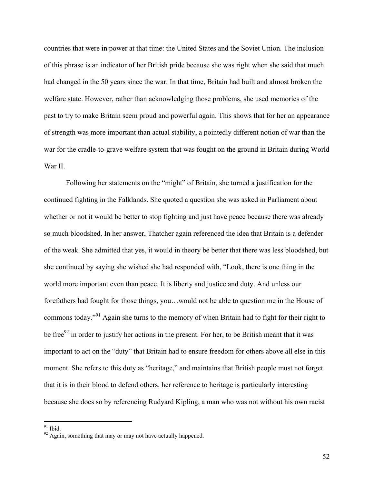countries that were in power at that time: the United States and the Soviet Union. The inclusion of this phrase is an indicator of her British pride because she was right when she said that much had changed in the 50 years since the war. In that time, Britain had built and almost broken the welfare state. However, rather than acknowledging those problems, she used memories of the past to try to make Britain seem proud and powerful again. This shows that for her an appearance of strength was more important than actual stability, a pointedly different notion of war than the war for the cradle-to-grave welfare system that was fought on the ground in Britain during World War II.

Following her statements on the "might" of Britain, she turned a justification for the continued fighting in the Falklands. She quoted a question she was asked in Parliament about whether or not it would be better to stop fighting and just have peace because there was already so much bloodshed. In her answer, Thatcher again referenced the idea that Britain is a defender of the weak. She admitted that yes, it would in theory be better that there was less bloodshed, but she continued by saying she wished she had responded with, "Look, there is one thing in the world more important even than peace. It is liberty and justice and duty. And unless our forefathers had fought for those things, you…would not be able to question me in the House of commons today."<sup>91</sup> Again she turns to the memory of when Britain had to fight for their right to be free $92$  in order to justify her actions in the present. For her, to be British meant that it was important to act on the "duty" that Britain had to ensure freedom for others above all else in this moment. She refers to this duty as "heritage," and maintains that British people must not forget that it is in their blood to defend others. her reference to heritage is particularly interesting because she does so by referencing Rudyard Kipling, a man who was not without his own racist

<sup>&</sup>lt;sup>91</sup> Ibid. <sup>92</sup> Again, something that may or may not have actually happened.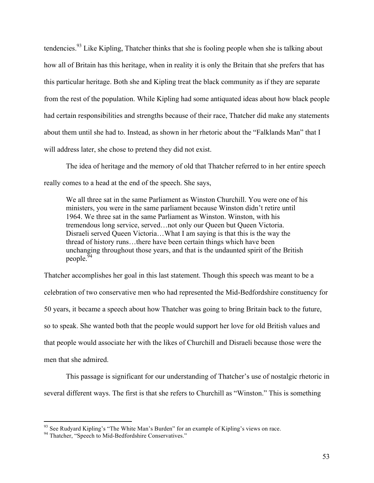tendencies.<sup>93</sup> Like Kipling, Thatcher thinks that she is fooling people when she is talking about how all of Britain has this heritage, when in reality it is only the Britain that she prefers that has this particular heritage. Both she and Kipling treat the black community as if they are separate from the rest of the population. While Kipling had some antiquated ideas about how black people had certain responsibilities and strengths because of their race, Thatcher did make any statements about them until she had to. Instead, as shown in her rhetoric about the "Falklands Man" that I will address later, she chose to pretend they did not exist.

The idea of heritage and the memory of old that Thatcher referred to in her entire speech really comes to a head at the end of the speech. She says,

We all three sat in the same Parliament as Winston Churchill. You were one of his ministers, you were in the same parliament because Winston didn't retire until 1964. We three sat in the same Parliament as Winston. Winston, with his tremendous long service, served…not only our Queen but Queen Victoria. Disraeli served Queen Victoria…What I am saying is that this is the way the thread of history runs…there have been certain things which have been unchanging throughout those years, and that is the undaunted spirit of the British people.<sup>94</sup>

Thatcher accomplishes her goal in this last statement. Though this speech was meant to be a celebration of two conservative men who had represented the Mid-Bedfordshire constituency for 50 years, it became a speech about how Thatcher was going to bring Britain back to the future, so to speak. She wanted both that the people would support her love for old British values and that people would associate her with the likes of Churchill and Disraeli because those were the men that she admired.

This passage is significant for our understanding of Thatcher's use of nostalgic rhetoric in several different ways. The first is that she refers to Churchill as "Winston." This is something

 $93$  See Rudyard Kipling's "The White Man's Burden" for an example of Kipling's views on race.  $94$  Thatcher, "Speech to Mid-Bedfordshire Conservatives."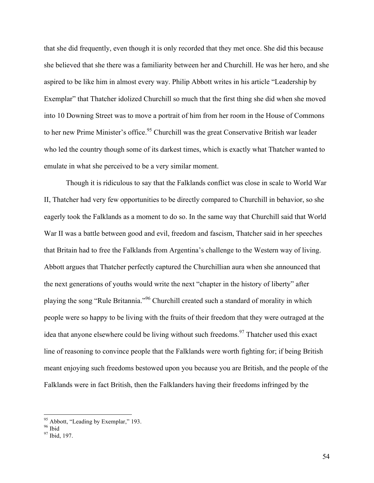that she did frequently, even though it is only recorded that they met once. She did this because she believed that she there was a familiarity between her and Churchill. He was her hero, and she aspired to be like him in almost every way. Philip Abbott writes in his article "Leadership by Exemplar" that Thatcher idolized Churchill so much that the first thing she did when she moved into 10 Downing Street was to move a portrait of him from her room in the House of Commons to her new Prime Minister's office.<sup>95</sup> Churchill was the great Conservative British war leader who led the country though some of its darkest times, which is exactly what Thatcher wanted to emulate in what she perceived to be a very similar moment.

Though it is ridiculous to say that the Falklands conflict was close in scale to World War II, Thatcher had very few opportunities to be directly compared to Churchill in behavior, so she eagerly took the Falklands as a moment to do so. In the same way that Churchill said that World War II was a battle between good and evil, freedom and fascism, Thatcher said in her speeches that Britain had to free the Falklands from Argentina's challenge to the Western way of living. Abbott argues that Thatcher perfectly captured the Churchillian aura when she announced that the next generations of youths would write the next "chapter in the history of liberty" after playing the song "Rule Britannia."<sup>96</sup> Churchill created such a standard of morality in which people were so happy to be living with the fruits of their freedom that they were outraged at the idea that anyone elsewhere could be living without such freedoms.<sup>97</sup> Thatcher used this exact line of reasoning to convince people that the Falklands were worth fighting for; if being British meant enjoying such freedoms bestowed upon you because you are British, and the people of the Falklands were in fact British, then the Falklanders having their freedoms infringed by the

<sup>&</sup>lt;sup>95</sup> Abbott, "Leading by Exemplar," 193.<br><sup>96</sup> Ibid. 197.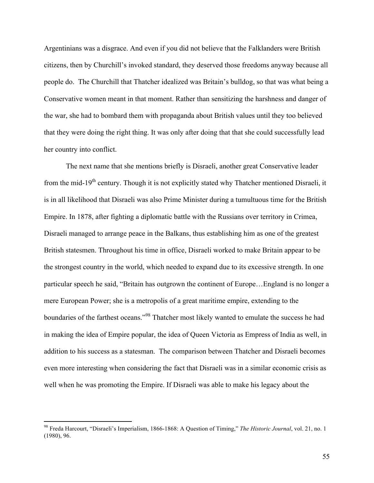Argentinians was a disgrace. And even if you did not believe that the Falklanders were British citizens, then by Churchill's invoked standard, they deserved those freedoms anyway because all people do. The Churchill that Thatcher idealized was Britain's bulldog, so that was what being a Conservative women meant in that moment. Rather than sensitizing the harshness and danger of the war, she had to bombard them with propaganda about British values until they too believed that they were doing the right thing. It was only after doing that that she could successfully lead her country into conflict.

The next name that she mentions briefly is Disraeli, another great Conservative leader from the mid-19<sup>th</sup> century. Though it is not explicitly stated why Thatcher mentioned Disraeli, it is in all likelihood that Disraeli was also Prime Minister during a tumultuous time for the British Empire. In 1878, after fighting a diplomatic battle with the Russians over territory in Crimea, Disraeli managed to arrange peace in the Balkans, thus establishing him as one of the greatest British statesmen. Throughout his time in office, Disraeli worked to make Britain appear to be the strongest country in the world, which needed to expand due to its excessive strength. In one particular speech he said, "Britain has outgrown the continent of Europe…England is no longer a mere European Power; she is a metropolis of a great maritime empire, extending to the boundaries of the farthest oceans."<sup>98</sup> Thatcher most likely wanted to emulate the success he had in making the idea of Empire popular, the idea of Queen Victoria as Empress of India as well, in addition to his success as a statesman. The comparison between Thatcher and Disraeli becomes even more interesting when considering the fact that Disraeli was in a similar economic crisis as well when he was promoting the Empire. If Disraeli was able to make his legacy about the

 <sup>98</sup> Freda Harcourt, "Disraeli's Imperialism, 1866-1868: A Question of Timing," *The Historic Journal*, vol. 21, no. 1 (1980), 96.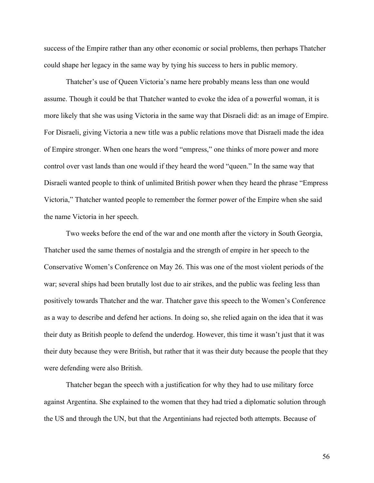success of the Empire rather than any other economic or social problems, then perhaps Thatcher could shape her legacy in the same way by tying his success to hers in public memory.

Thatcher's use of Queen Victoria's name here probably means less than one would assume. Though it could be that Thatcher wanted to evoke the idea of a powerful woman, it is more likely that she was using Victoria in the same way that Disraeli did: as an image of Empire. For Disraeli, giving Victoria a new title was a public relations move that Disraeli made the idea of Empire stronger. When one hears the word "empress," one thinks of more power and more control over vast lands than one would if they heard the word "queen." In the same way that Disraeli wanted people to think of unlimited British power when they heard the phrase "Empress Victoria," Thatcher wanted people to remember the former power of the Empire when she said the name Victoria in her speech.

Two weeks before the end of the war and one month after the victory in South Georgia, Thatcher used the same themes of nostalgia and the strength of empire in her speech to the Conservative Women's Conference on May 26. This was one of the most violent periods of the war; several ships had been brutally lost due to air strikes, and the public was feeling less than positively towards Thatcher and the war. Thatcher gave this speech to the Women's Conference as a way to describe and defend her actions. In doing so, she relied again on the idea that it was their duty as British people to defend the underdog. However, this time it wasn't just that it was their duty because they were British, but rather that it was their duty because the people that they were defending were also British.

Thatcher began the speech with a justification for why they had to use military force against Argentina. She explained to the women that they had tried a diplomatic solution through the US and through the UN, but that the Argentinians had rejected both attempts. Because of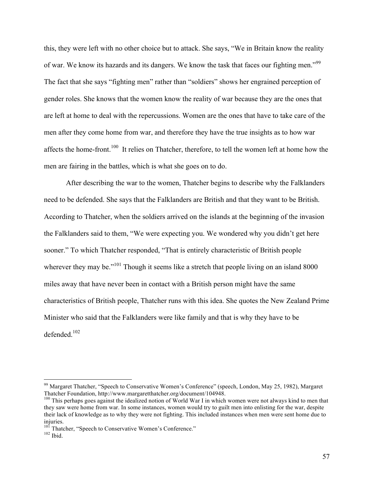this, they were left with no other choice but to attack. She says, "We in Britain know the reality of war. We know its hazards and its dangers. We know the task that faces our fighting men."<sup>99</sup> The fact that she says "fighting men" rather than "soldiers" shows her engrained perception of gender roles. She knows that the women know the reality of war because they are the ones that are left at home to deal with the repercussions. Women are the ones that have to take care of the men after they come home from war, and therefore they have the true insights as to how war affects the home-front.<sup>100</sup> It relies on Thatcher, therefore, to tell the women left at home how the men are fairing in the battles, which is what she goes on to do.

After describing the war to the women, Thatcher begins to describe why the Falklanders need to be defended. She says that the Falklanders are British and that they want to be British. According to Thatcher, when the soldiers arrived on the islands at the beginning of the invasion the Falklanders said to them, "We were expecting you. We wondered why you didn't get here sooner." To which Thatcher responded, "That is entirely characteristic of British people wherever they may be."<sup>101</sup> Though it seems like a stretch that people living on an island 8000 miles away that have never been in contact with a British person might have the same characteristics of British people, Thatcher runs with this idea. She quotes the New Zealand Prime Minister who said that the Falklanders were like family and that is why they have to be defended $102$ 

<sup>&</sup>lt;sup>99</sup> Margaret Thatcher, "Speech to Conservative Women's Conference" (speech, London, May 25, 1982), Margaret Thatcher Foundation, http://www.margaretthatcher.org/document/104948.

 $100$  This perhaps goes against the idealized notion of World War I in which women were not always kind to men that they saw were home from war. In some instances, women would try to guilt men into enlisting for the war, despite their lack of knowledge as to why they were not fighting. This included instances when men were sent home due to injuries.

 $101 \over 102$  Thatcher, "Speech to Conservative Women's Conference."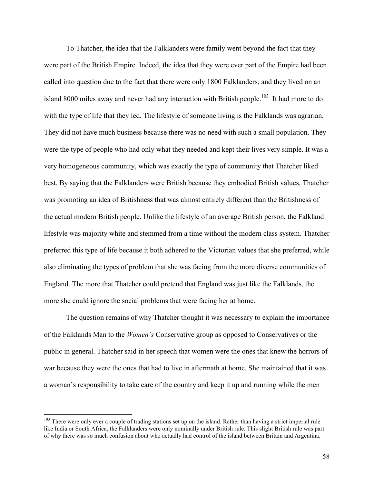To Thatcher, the idea that the Falklanders were family went beyond the fact that they were part of the British Empire. Indeed, the idea that they were ever part of the Empire had been called into question due to the fact that there were only 1800 Falklanders, and they lived on an island 8000 miles away and never had any interaction with British people.<sup>103</sup> It had more to do with the type of life that they led. The lifestyle of someone living is the Falklands was agrarian. They did not have much business because there was no need with such a small population. They were the type of people who had only what they needed and kept their lives very simple. It was a very homogeneous community, which was exactly the type of community that Thatcher liked best. By saying that the Falklanders were British because they embodied British values, Thatcher was promoting an idea of Britishness that was almost entirely different than the Britishness of the actual modern British people. Unlike the lifestyle of an average British person, the Falkland lifestyle was majority white and stemmed from a time without the modern class system. Thatcher preferred this type of life because it both adhered to the Victorian values that she preferred, while also eliminating the types of problem that she was facing from the more diverse communities of England. The more that Thatcher could pretend that England was just like the Falklands, the more she could ignore the social problems that were facing her at home.

The question remains of why Thatcher thought it was necessary to explain the importance of the Falklands Man to the *Women's* Conservative group as opposed to Conservatives or the public in general. Thatcher said in her speech that women were the ones that knew the horrors of war because they were the ones that had to live in aftermath at home. She maintained that it was a woman's responsibility to take care of the country and keep it up and running while the men

<sup>&</sup>lt;sup>103</sup> There were only ever a couple of trading stations set up on the island. Rather than having a strict imperial rule like India or South Africa, the Falklanders were only nominally under British rule. This slight British rule was part of why there was so much confusion about who actually had control of the island between Britain and Argentina.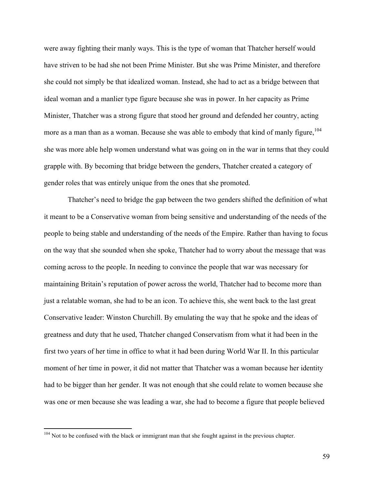were away fighting their manly ways. This is the type of woman that Thatcher herself would have striven to be had she not been Prime Minister. But she was Prime Minister, and therefore she could not simply be that idealized woman. Instead, she had to act as a bridge between that ideal woman and a manlier type figure because she was in power. In her capacity as Prime Minister, Thatcher was a strong figure that stood her ground and defended her country, acting more as a man than as a woman. Because she was able to embody that kind of manly figure,  $104$ she was more able help women understand what was going on in the war in terms that they could grapple with. By becoming that bridge between the genders, Thatcher created a category of gender roles that was entirely unique from the ones that she promoted.

Thatcher's need to bridge the gap between the two genders shifted the definition of what it meant to be a Conservative woman from being sensitive and understanding of the needs of the people to being stable and understanding of the needs of the Empire. Rather than having to focus on the way that she sounded when she spoke, Thatcher had to worry about the message that was coming across to the people. In needing to convince the people that war was necessary for maintaining Britain's reputation of power across the world, Thatcher had to become more than just a relatable woman, she had to be an icon. To achieve this, she went back to the last great Conservative leader: Winston Churchill. By emulating the way that he spoke and the ideas of greatness and duty that he used, Thatcher changed Conservatism from what it had been in the first two years of her time in office to what it had been during World War II. In this particular moment of her time in power, it did not matter that Thatcher was a woman because her identity had to be bigger than her gender. It was not enough that she could relate to women because she was one or men because she was leading a war, she had to become a figure that people believed

<sup>&</sup>lt;sup>104</sup> Not to be confused with the black or immigrant man that she fought against in the previous chapter.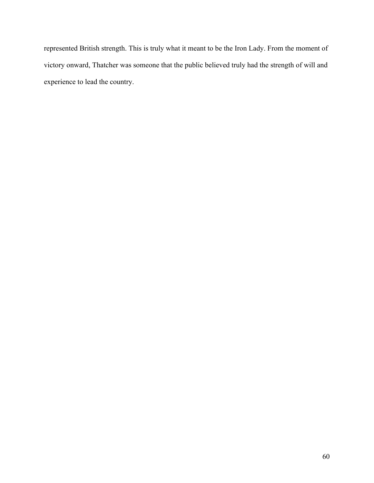represented British strength. This is truly what it meant to be the Iron Lady. From the moment of victory onward, Thatcher was someone that the public believed truly had the strength of will and experience to lead the country.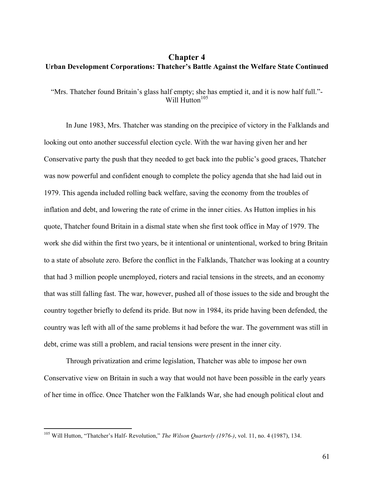## **Chapter 4 Urban Development Corporations: Thatcher's Battle Against the Welfare State Continued**

"Mrs. Thatcher found Britain's glass half empty; she has emptied it, and it is now half full."- Will  $H$ utton<sup>105</sup>

In June 1983, Mrs. Thatcher was standing on the precipice of victory in the Falklands and looking out onto another successful election cycle. With the war having given her and her Conservative party the push that they needed to get back into the public's good graces, Thatcher was now powerful and confident enough to complete the policy agenda that she had laid out in 1979. This agenda included rolling back welfare, saving the economy from the troubles of inflation and debt, and lowering the rate of crime in the inner cities. As Hutton implies in his quote, Thatcher found Britain in a dismal state when she first took office in May of 1979. The work she did within the first two years, be it intentional or unintentional, worked to bring Britain to a state of absolute zero. Before the conflict in the Falklands, Thatcher was looking at a country that had 3 million people unemployed, rioters and racial tensions in the streets, and an economy that was still falling fast. The war, however, pushed all of those issues to the side and brought the country together briefly to defend its pride. But now in 1984, its pride having been defended, the country was left with all of the same problems it had before the war. The government was still in debt, crime was still a problem, and racial tensions were present in the inner city.

Through privatization and crime legislation, Thatcher was able to impose her own Conservative view on Britain in such a way that would not have been possible in the early years of her time in office. Once Thatcher won the Falklands War, she had enough political clout and

 <sup>105</sup> Will Hutton, "Thatcher's Half- Revolution," *The Wilson Quarterly (1976-)*, vol. 11, no. 4 (1987), 134.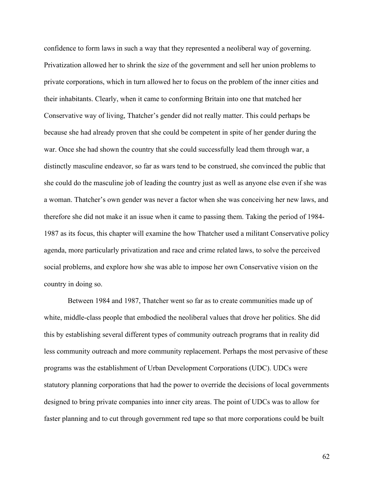confidence to form laws in such a way that they represented a neoliberal way of governing. Privatization allowed her to shrink the size of the government and sell her union problems to private corporations, which in turn allowed her to focus on the problem of the inner cities and their inhabitants. Clearly, when it came to conforming Britain into one that matched her Conservative way of living, Thatcher's gender did not really matter. This could perhaps be because she had already proven that she could be competent in spite of her gender during the war. Once she had shown the country that she could successfully lead them through war, a distinctly masculine endeavor, so far as wars tend to be construed, she convinced the public that she could do the masculine job of leading the country just as well as anyone else even if she was a woman. Thatcher's own gender was never a factor when she was conceiving her new laws, and therefore she did not make it an issue when it came to passing them. Taking the period of 1984- 1987 as its focus, this chapter will examine the how Thatcher used a militant Conservative policy agenda, more particularly privatization and race and crime related laws, to solve the perceived social problems, and explore how she was able to impose her own Conservative vision on the country in doing so.

Between 1984 and 1987, Thatcher went so far as to create communities made up of white, middle-class people that embodied the neoliberal values that drove her politics. She did this by establishing several different types of community outreach programs that in reality did less community outreach and more community replacement. Perhaps the most pervasive of these programs was the establishment of Urban Development Corporations (UDC). UDCs were statutory planning corporations that had the power to override the decisions of local governments designed to bring private companies into inner city areas. The point of UDCs was to allow for faster planning and to cut through government red tape so that more corporations could be built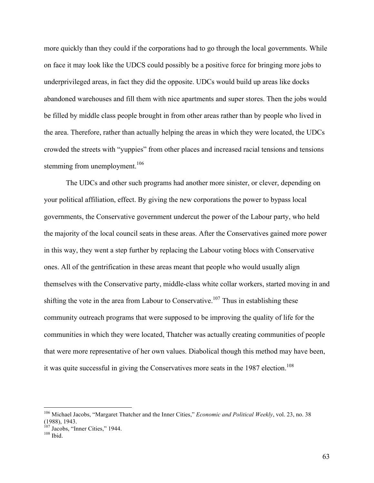more quickly than they could if the corporations had to go through the local governments. While on face it may look like the UDCS could possibly be a positive force for bringing more jobs to underprivileged areas, in fact they did the opposite. UDCs would build up areas like docks abandoned warehouses and fill them with nice apartments and super stores. Then the jobs would be filled by middle class people brought in from other areas rather than by people who lived in the area. Therefore, rather than actually helping the areas in which they were located, the UDCs crowded the streets with "yuppies" from other places and increased racial tensions and tensions stemming from unemployment. $106$ 

The UDCs and other such programs had another more sinister, or clever, depending on your political affiliation, effect. By giving the new corporations the power to bypass local governments, the Conservative government undercut the power of the Labour party, who held the majority of the local council seats in these areas. After the Conservatives gained more power in this way, they went a step further by replacing the Labour voting blocs with Conservative ones. All of the gentrification in these areas meant that people who would usually align themselves with the Conservative party, middle-class white collar workers, started moving in and shifting the vote in the area from Labour to Conservative.<sup>107</sup> Thus in establishing these community outreach programs that were supposed to be improving the quality of life for the communities in which they were located, Thatcher was actually creating communities of people that were more representative of her own values. Diabolical though this method may have been, it was quite successful in giving the Conservatives more seats in the 1987 election.<sup>108</sup>

 <sup>106</sup> Michael Jacobs, "Margaret Thatcher and the Inner Cities," *Economic and Political Weekly*, vol. 23, no. 38 (1988), 1943.

 $\frac{107}{108}$  Jacobs, "Inner Cities," 1944.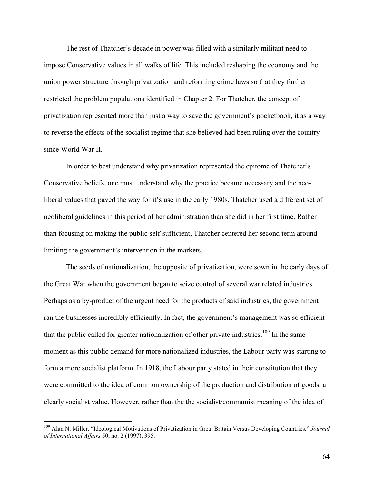The rest of Thatcher's decade in power was filled with a similarly militant need to impose Conservative values in all walks of life. This included reshaping the economy and the union power structure through privatization and reforming crime laws so that they further restricted the problem populations identified in Chapter 2. For Thatcher, the concept of privatization represented more than just a way to save the government's pocketbook, it as a way to reverse the effects of the socialist regime that she believed had been ruling over the country since World War II.

In order to best understand why privatization represented the epitome of Thatcher's Conservative beliefs, one must understand why the practice became necessary and the neoliberal values that paved the way for it's use in the early 1980s. Thatcher used a different set of neoliberal guidelines in this period of her administration than she did in her first time. Rather than focusing on making the public self-sufficient, Thatcher centered her second term around limiting the government's intervention in the markets.

The seeds of nationalization, the opposite of privatization, were sown in the early days of the Great War when the government began to seize control of several war related industries. Perhaps as a by-product of the urgent need for the products of said industries, the government ran the businesses incredibly efficiently. In fact, the government's management was so efficient that the public called for greater nationalization of other private industries.<sup>109</sup> In the same moment as this public demand for more nationalized industries, the Labour party was starting to form a more socialist platform. In 1918, the Labour party stated in their constitution that they were committed to the idea of common ownership of the production and distribution of goods, a clearly socialist value. However, rather than the the socialist/communist meaning of the idea of

 <sup>109</sup> Alan N. Miller, "Ideological Motivations of Privatization in Great Britain Versus Developing Countries," *Journal of International Affairs* 50, no. 2 (1997), 395.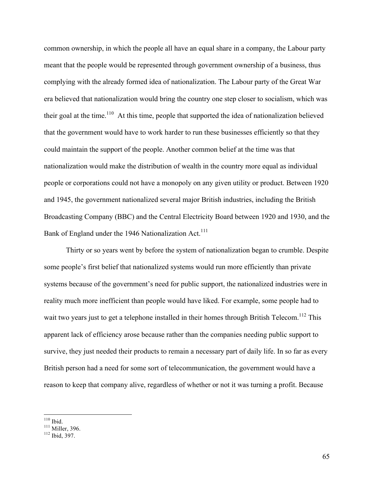common ownership, in which the people all have an equal share in a company, the Labour party meant that the people would be represented through government ownership of a business, thus complying with the already formed idea of nationalization. The Labour party of the Great War era believed that nationalization would bring the country one step closer to socialism, which was their goal at the time.<sup>110</sup> At this time, people that supported the idea of nationalization believed that the government would have to work harder to run these businesses efficiently so that they could maintain the support of the people. Another common belief at the time was that nationalization would make the distribution of wealth in the country more equal as individual people or corporations could not have a monopoly on any given utility or product. Between 1920 and 1945, the government nationalized several major British industries, including the British Broadcasting Company (BBC) and the Central Electricity Board between 1920 and 1930, and the Bank of England under the 1946 Nationalization Act.<sup>111</sup>

Thirty or so years went by before the system of nationalization began to crumble. Despite some people's first belief that nationalized systems would run more efficiently than private systems because of the government's need for public support, the nationalized industries were in reality much more inefficient than people would have liked. For example, some people had to wait two years just to get a telephone installed in their homes through British Telecom.<sup>112</sup> This apparent lack of efficiency arose because rather than the companies needing public support to survive, they just needed their products to remain a necessary part of daily life. In so far as every British person had a need for some sort of telecommunication, the government would have a reason to keep that company alive, regardless of whether or not it was turning a profit. Because

<sup>&</sup>lt;sup>110</sup> Ibid.<br><sup>111</sup> Miller, 396.<br><sup>112</sup> Ibid. 397.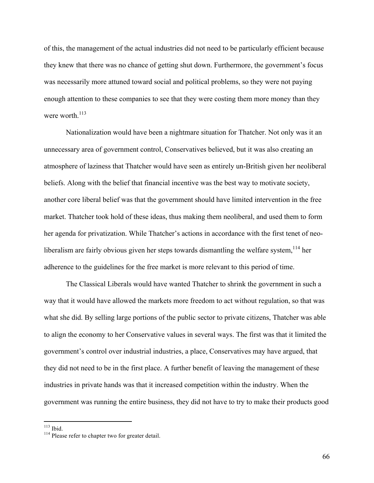of this, the management of the actual industries did not need to be particularly efficient because they knew that there was no chance of getting shut down. Furthermore, the government's focus was necessarily more attuned toward social and political problems, so they were not paying enough attention to these companies to see that they were costing them more money than they were worth  $^{113}$ 

Nationalization would have been a nightmare situation for Thatcher. Not only was it an unnecessary area of government control, Conservatives believed, but it was also creating an atmosphere of laziness that Thatcher would have seen as entirely un-British given her neoliberal beliefs. Along with the belief that financial incentive was the best way to motivate society, another core liberal belief was that the government should have limited intervention in the free market. Thatcher took hold of these ideas, thus making them neoliberal, and used them to form her agenda for privatization. While Thatcher's actions in accordance with the first tenet of neoliberalism are fairly obvious given her steps towards dismantling the welfare system,  $114$  her adherence to the guidelines for the free market is more relevant to this period of time.

The Classical Liberals would have wanted Thatcher to shrink the government in such a way that it would have allowed the markets more freedom to act without regulation, so that was what she did. By selling large portions of the public sector to private citizens, Thatcher was able to align the economy to her Conservative values in several ways. The first was that it limited the government's control over industrial industries, a place, Conservatives may have argued, that they did not need to be in the first place. A further benefit of leaving the management of these industries in private hands was that it increased competition within the industry. When the government was running the entire business, they did not have to try to make their products good

<sup>&</sup>lt;sup>113</sup> Ibid.  $114$  Please refer to chapter two for greater detail.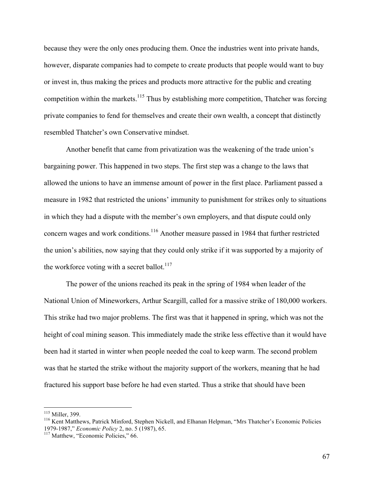because they were the only ones producing them. Once the industries went into private hands, however, disparate companies had to compete to create products that people would want to buy or invest in, thus making the prices and products more attractive for the public and creating competition within the markets.<sup>115</sup> Thus by establishing more competition, Thatcher was forcing private companies to fend for themselves and create their own wealth, a concept that distinctly resembled Thatcher's own Conservative mindset.

Another benefit that came from privatization was the weakening of the trade union's bargaining power. This happened in two steps. The first step was a change to the laws that allowed the unions to have an immense amount of power in the first place. Parliament passed a measure in 1982 that restricted the unions' immunity to punishment for strikes only to situations in which they had a dispute with the member's own employers, and that dispute could only concern wages and work conditions.<sup>116</sup> Another measure passed in 1984 that further restricted the union's abilities, now saying that they could only strike if it was supported by a majority of the workforce voting with a secret ballot. $117$ 

The power of the unions reached its peak in the spring of 1984 when leader of the National Union of Mineworkers, Arthur Scargill, called for a massive strike of 180,000 workers. This strike had two major problems. The first was that it happened in spring, which was not the height of coal mining season. This immediately made the strike less effective than it would have been had it started in winter when people needed the coal to keep warm. The second problem was that he started the strike without the majority support of the workers, meaning that he had fractured his support base before he had even started. Thus a strike that should have been

<sup>&</sup>lt;sup>115</sup> Miller, 399.<br><sup>116</sup> Kent Matthews, Patrick Minford, Stephen Nickell, and Elhanan Helpman, "Mrs Thatcher's Economic Policies 1979-1987," *Economic Policy* 2, no. 5 (1987), 65. <sup>117</sup> Matthew, "Economic Policies," 66.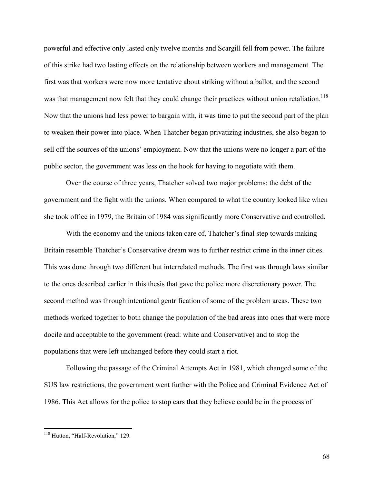powerful and effective only lasted only twelve months and Scargill fell from power. The failure of this strike had two lasting effects on the relationship between workers and management. The first was that workers were now more tentative about striking without a ballot, and the second was that management now felt that they could change their practices without union retaliation.<sup>118</sup> Now that the unions had less power to bargain with, it was time to put the second part of the plan to weaken their power into place. When Thatcher began privatizing industries, she also began to sell off the sources of the unions' employment. Now that the unions were no longer a part of the public sector, the government was less on the hook for having to negotiate with them.

Over the course of three years, Thatcher solved two major problems: the debt of the government and the fight with the unions. When compared to what the country looked like when she took office in 1979, the Britain of 1984 was significantly more Conservative and controlled.

With the economy and the unions taken care of, Thatcher's final step towards making Britain resemble Thatcher's Conservative dream was to further restrict crime in the inner cities. This was done through two different but interrelated methods. The first was through laws similar to the ones described earlier in this thesis that gave the police more discretionary power. The second method was through intentional gentrification of some of the problem areas. These two methods worked together to both change the population of the bad areas into ones that were more docile and acceptable to the government (read: white and Conservative) and to stop the populations that were left unchanged before they could start a riot.

Following the passage of the Criminal Attempts Act in 1981, which changed some of the SUS law restrictions, the government went further with the Police and Criminal Evidence Act of 1986. This Act allows for the police to stop cars that they believe could be in the process of

<sup>&</sup>lt;sup>118</sup> Hutton, "Half-Revolution," 129.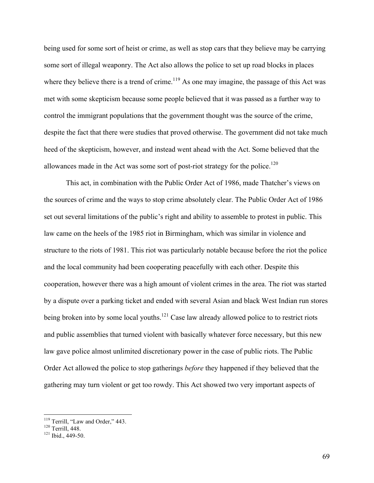being used for some sort of heist or crime, as well as stop cars that they believe may be carrying some sort of illegal weaponry. The Act also allows the police to set up road blocks in places where they believe there is a trend of crime.<sup>119</sup> As one may imagine, the passage of this Act was met with some skepticism because some people believed that it was passed as a further way to control the immigrant populations that the government thought was the source of the crime, despite the fact that there were studies that proved otherwise. The government did not take much heed of the skepticism, however, and instead went ahead with the Act. Some believed that the allowances made in the Act was some sort of post-riot strategy for the police.<sup>120</sup>

This act, in combination with the Public Order Act of 1986, made Thatcher's views on the sources of crime and the ways to stop crime absolutely clear. The Public Order Act of 1986 set out several limitations of the public's right and ability to assemble to protest in public. This law came on the heels of the 1985 riot in Birmingham, which was similar in violence and structure to the riots of 1981. This riot was particularly notable because before the riot the police and the local community had been cooperating peacefully with each other. Despite this cooperation, however there was a high amount of violent crimes in the area. The riot was started by a dispute over a parking ticket and ended with several Asian and black West Indian run stores being broken into by some local youths.<sup>121</sup> Case law already allowed police to to restrict riots and public assemblies that turned violent with basically whatever force necessary, but this new law gave police almost unlimited discretionary power in the case of public riots. The Public Order Act allowed the police to stop gatherings *before* they happened if they believed that the gathering may turn violent or get too rowdy. This Act showed two very important aspects of

<sup>&</sup>lt;sup>119</sup> Terrill, "Law and Order," 443.<br><sup>120</sup> Terrill, 448.<br><sup>121</sup> Ibid., 449-50.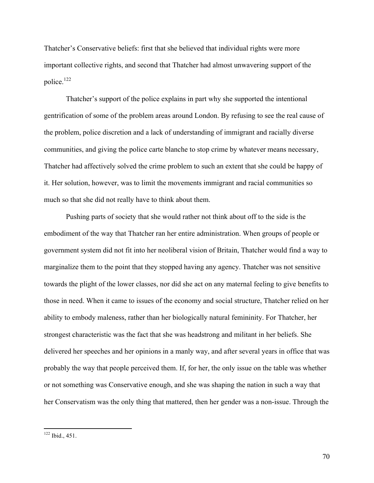Thatcher's Conservative beliefs: first that she believed that individual rights were more important collective rights, and second that Thatcher had almost unwavering support of the police.<sup>122</sup>

Thatcher's support of the police explains in part why she supported the intentional gentrification of some of the problem areas around London. By refusing to see the real cause of the problem, police discretion and a lack of understanding of immigrant and racially diverse communities, and giving the police carte blanche to stop crime by whatever means necessary, Thatcher had affectively solved the crime problem to such an extent that she could be happy of it. Her solution, however, was to limit the movements immigrant and racial communities so much so that she did not really have to think about them.

Pushing parts of society that she would rather not think about off to the side is the embodiment of the way that Thatcher ran her entire administration. When groups of people or government system did not fit into her neoliberal vision of Britain, Thatcher would find a way to marginalize them to the point that they stopped having any agency. Thatcher was not sensitive towards the plight of the lower classes, nor did she act on any maternal feeling to give benefits to those in need. When it came to issues of the economy and social structure, Thatcher relied on her ability to embody maleness, rather than her biologically natural femininity. For Thatcher, her strongest characteristic was the fact that she was headstrong and militant in her beliefs. She delivered her speeches and her opinions in a manly way, and after several years in office that was probably the way that people perceived them. If, for her, the only issue on the table was whether or not something was Conservative enough, and she was shaping the nation in such a way that her Conservatism was the only thing that mattered, then her gender was a non-issue. Through the

 <sup>122</sup> Ibid., 451.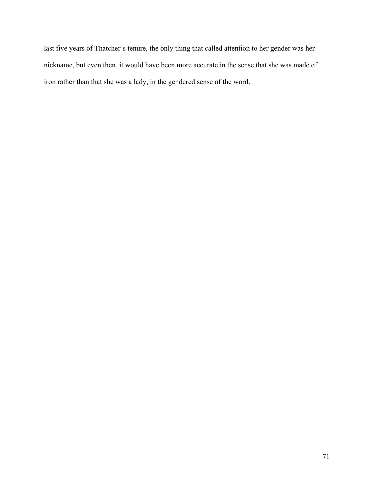last five years of Thatcher's tenure, the only thing that called attention to her gender was her nickname, but even then, it would have been more accurate in the sense that she was made of iron rather than that she was a lady, in the gendered sense of the word.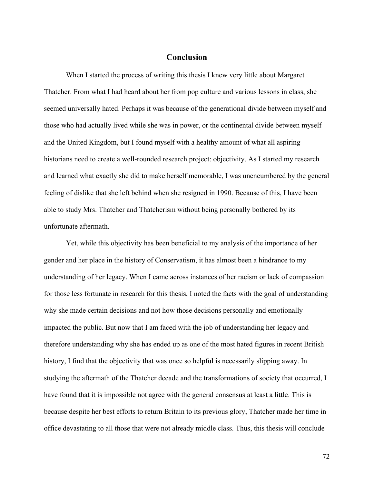## **Conclusion**

When I started the process of writing this thesis I knew very little about Margaret Thatcher. From what I had heard about her from pop culture and various lessons in class, she seemed universally hated. Perhaps it was because of the generational divide between myself and those who had actually lived while she was in power, or the continental divide between myself and the United Kingdom, but I found myself with a healthy amount of what all aspiring historians need to create a well-rounded research project: objectivity. As I started my research and learned what exactly she did to make herself memorable, I was unencumbered by the general feeling of dislike that she left behind when she resigned in 1990. Because of this, I have been able to study Mrs. Thatcher and Thatcherism without being personally bothered by its unfortunate aftermath.

Yet, while this objectivity has been beneficial to my analysis of the importance of her gender and her place in the history of Conservatism, it has almost been a hindrance to my understanding of her legacy. When I came across instances of her racism or lack of compassion for those less fortunate in research for this thesis, I noted the facts with the goal of understanding why she made certain decisions and not how those decisions personally and emotionally impacted the public. But now that I am faced with the job of understanding her legacy and therefore understanding why she has ended up as one of the most hated figures in recent British history, I find that the objectivity that was once so helpful is necessarily slipping away. In studying the aftermath of the Thatcher decade and the transformations of society that occurred, I have found that it is impossible not agree with the general consensus at least a little. This is because despite her best efforts to return Britain to its previous glory, Thatcher made her time in office devastating to all those that were not already middle class. Thus, this thesis will conclude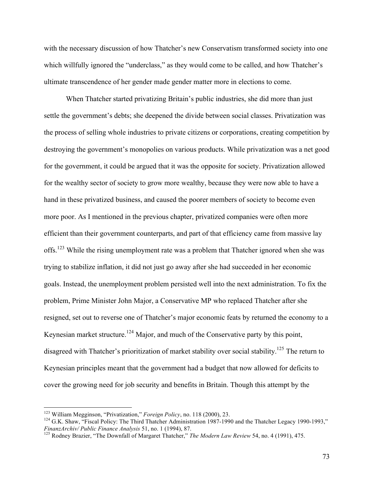with the necessary discussion of how Thatcher's new Conservatism transformed society into one which willfully ignored the "underclass," as they would come to be called, and how Thatcher's ultimate transcendence of her gender made gender matter more in elections to come.

When Thatcher started privatizing Britain's public industries, she did more than just settle the government's debts; she deepened the divide between social classes. Privatization was the process of selling whole industries to private citizens or corporations, creating competition by destroying the government's monopolies on various products. While privatization was a net good for the government, it could be argued that it was the opposite for society. Privatization allowed for the wealthy sector of society to grow more wealthy, because they were now able to have a hand in these privatized business, and caused the poorer members of society to become even more poor. As I mentioned in the previous chapter, privatized companies were often more efficient than their government counterparts, and part of that efficiency came from massive lay offs.<sup>123</sup> While the rising unemployment rate was a problem that Thatcher ignored when she was trying to stabilize inflation, it did not just go away after she had succeeded in her economic goals. Instead, the unemployment problem persisted well into the next administration. To fix the problem, Prime Minister John Major, a Conservative MP who replaced Thatcher after she resigned, set out to reverse one of Thatcher's major economic feats by returned the economy to a Keynesian market structure.<sup>124</sup> Major, and much of the Conservative party by this point, disagreed with Thatcher's prioritization of market stability over social stability.<sup>125</sup> The return to Keynesian principles meant that the government had a budget that now allowed for deficits to cover the growing need for job security and benefits in Britain. Though this attempt by the

<sup>&</sup>lt;sup>123</sup> William Megginson, "Privatization," *Foreign Policy*, no. 118 (2000), 23.<br><sup>124</sup> G.K. Shaw, "Fiscal Policy: The Third Thatcher Administration 1987-1990 and the Thatcher Legacy 1990-1993," *FinanzArchiv/ Public Finance Analysis* 51, no. 1 (1994), 87.<br><sup>125</sup> Rodney Brazier, "The Downfall of Margaret Thatcher," *The Modern Law Review* 54, no. 4 (1991), 475.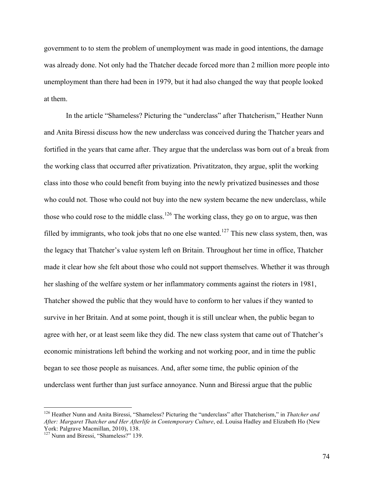government to to stem the problem of unemployment was made in good intentions, the damage was already done. Not only had the Thatcher decade forced more than 2 million more people into unemployment than there had been in 1979, but it had also changed the way that people looked at them.

In the article "Shameless? Picturing the "underclass" after Thatcherism," Heather Nunn and Anita Biressi discuss how the new underclass was conceived during the Thatcher years and fortified in the years that came after. They argue that the underclass was born out of a break from the working class that occurred after privatization. Privatitzaton, they argue, split the working class into those who could benefit from buying into the newly privatized businesses and those who could not. Those who could not buy into the new system became the new underclass, while those who could rose to the middle class.<sup>126</sup> The working class, they go on to argue, was then filled by immigrants, who took jobs that no one else wanted.<sup>127</sup> This new class system, then, was the legacy that Thatcher's value system left on Britain. Throughout her time in office, Thatcher made it clear how she felt about those who could not support themselves. Whether it was through her slashing of the welfare system or her inflammatory comments against the rioters in 1981, Thatcher showed the public that they would have to conform to her values if they wanted to survive in her Britain. And at some point, though it is still unclear when, the public began to agree with her, or at least seem like they did. The new class system that came out of Thatcher's economic ministrations left behind the working and not working poor, and in time the public began to see those people as nuisances. And, after some time, the public opinion of the underclass went further than just surface annoyance. Nunn and Biressi argue that the public

 <sup>126</sup> Heather Nunn and Anita Biressi, "Shameless? Picturing the "underclass" after Thatcherism," in *Thatcher and After: Margaret Thatcher and Her Afterlife in Contemporary Culture*, ed. Louisa Hadley and Elizabeth Ho (New York: Palgrave Macmillan, 2010), 138. 127 Nunn and Biressi, "Shameless?" 139.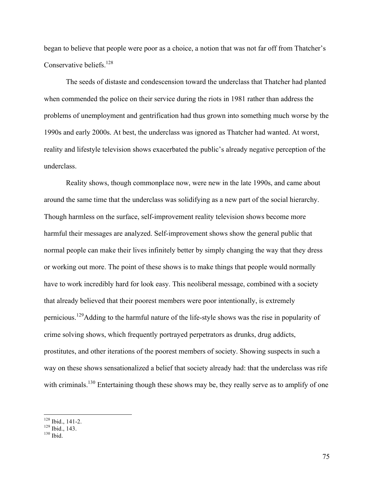began to believe that people were poor as a choice, a notion that was not far off from Thatcher's Conservative beliefs.<sup>128</sup>

The seeds of distaste and condescension toward the underclass that Thatcher had planted when commended the police on their service during the riots in 1981 rather than address the problems of unemployment and gentrification had thus grown into something much worse by the 1990s and early 2000s. At best, the underclass was ignored as Thatcher had wanted. At worst, reality and lifestyle television shows exacerbated the public's already negative perception of the underclass.

Reality shows, though commonplace now, were new in the late 1990s, and came about around the same time that the underclass was solidifying as a new part of the social hierarchy. Though harmless on the surface, self-improvement reality television shows become more harmful their messages are analyzed. Self-improvement shows show the general public that normal people can make their lives infinitely better by simply changing the way that they dress or working out more. The point of these shows is to make things that people would normally have to work incredibly hard for look easy. This neoliberal message, combined with a society that already believed that their poorest members were poor intentionally, is extremely pernicious.129Adding to the harmful nature of the life-style shows was the rise in popularity of crime solving shows, which frequently portrayed perpetrators as drunks, drug addicts, prostitutes, and other iterations of the poorest members of society. Showing suspects in such a way on these shows sensationalized a belief that society already had: that the underclass was rife with criminals.<sup>130</sup> Entertaining though these shows may be, they really serve as to amplify of one

<sup>&</sup>lt;sup>128</sup> Ibid., 141-2.<br><sup>129</sup> Ibid., 143.<br><sup>130</sup> Ibid.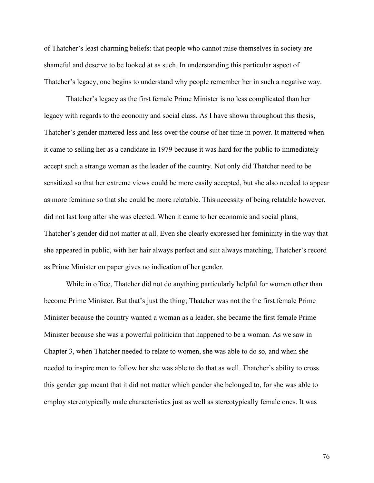of Thatcher's least charming beliefs: that people who cannot raise themselves in society are shameful and deserve to be looked at as such. In understanding this particular aspect of Thatcher's legacy, one begins to understand why people remember her in such a negative way.

Thatcher's legacy as the first female Prime Minister is no less complicated than her legacy with regards to the economy and social class. As I have shown throughout this thesis, Thatcher's gender mattered less and less over the course of her time in power. It mattered when it came to selling her as a candidate in 1979 because it was hard for the public to immediately accept such a strange woman as the leader of the country. Not only did Thatcher need to be sensitized so that her extreme views could be more easily accepted, but she also needed to appear as more feminine so that she could be more relatable. This necessity of being relatable however, did not last long after she was elected. When it came to her economic and social plans, Thatcher's gender did not matter at all. Even she clearly expressed her femininity in the way that she appeared in public, with her hair always perfect and suit always matching, Thatcher's record as Prime Minister on paper gives no indication of her gender.

While in office, Thatcher did not do anything particularly helpful for women other than become Prime Minister. But that's just the thing; Thatcher was not the the first female Prime Minister because the country wanted a woman as a leader, she became the first female Prime Minister because she was a powerful politician that happened to be a woman. As we saw in Chapter 3, when Thatcher needed to relate to women, she was able to do so, and when she needed to inspire men to follow her she was able to do that as well. Thatcher's ability to cross this gender gap meant that it did not matter which gender she belonged to, for she was able to employ stereotypically male characteristics just as well as stereotypically female ones. It was

76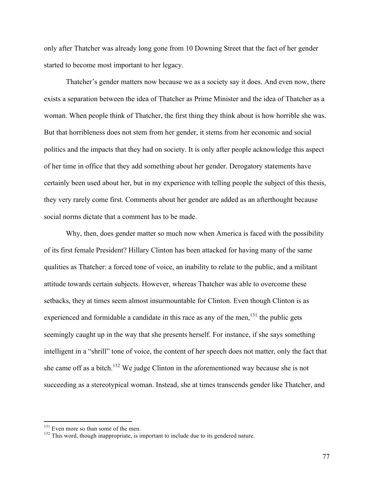only after Thatcher was already long gone from 10 Downing Street that the fact of her gender started to become most important to her legacy.

Thatcher's gender matters now because we as a society say it does. And even now, there exists a separation between the idea of Thatcher as Prime Minister and the idea of Thatcher as a woman. When people think of Thatcher, the first thing they think about is how horrible she was. But that horribleness does not stem from her gender, it stems from her economic and social politics and the impacts that they had on society. It is only after people acknowledge this aspect of her time in office that they add something about her gender. Derogatory statements have certainly been used about her, but in my experience with telling people the subject of this thesis, they very rarely come first. Comments about her gender are added as an afterthought because social norms dictate that a comment has to be made.

Why, then, does gender matter so much now when America is faced with the possibility of its first female President? Hillary Clinton has been attacked for having many of the same qualities as Thatcher: a forced tone of voice, an inability to relate to the public, and a militant attitude towards certain subjects. However, whereas Thatcher was able to overcome these setbacks, they at times seem almost insurmountable for Clinton. Even though Clinton is as experienced and formidable a candidate in this race as any of the men, $131$  the public gets seemingly caught up in the way that she presents herself. For instance, if she says something intelligent in a "shrill" tone of voice, the content of her speech does not matter, only the fact that she came off as a bitch.<sup>132</sup> We judge Clinton in the aforementioned way because she is not succeeding as a stereotypical woman. Instead, she at times transcends gender like Thatcher, and

 $131$  Even more so than some of the men.<br> $132$  This word, though inappropriate, is important to include due to its gendered nature.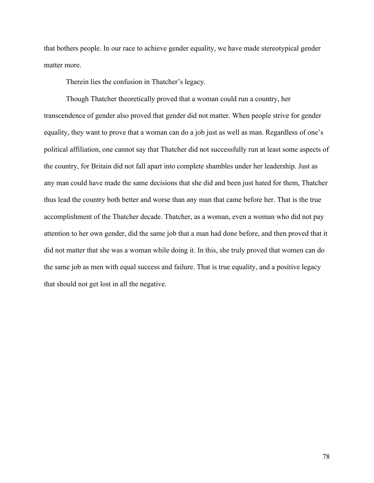that bothers people. In our race to achieve gender equality, we have made stereotypical gender matter more.

Therein lies the confusion in Thatcher's legacy.

Though Thatcher theoretically proved that a woman could run a country, her transcendence of gender also proved that gender did not matter. When people strive for gender equality, they want to prove that a woman can do a job just as well as man. Regardless of one's political affiliation, one cannot say that Thatcher did not successfully run at least some aspects of the country, for Britain did not fall apart into complete shambles under her leadership. Just as any man could have made the same decisions that she did and been just hated for them, Thatcher thus lead the country both better and worse than any man that came before her. That is the true accomplishment of the Thatcher decade. Thatcher, as a woman, even a woman who did not pay attention to her own gender, did the same job that a man had done before, and then proved that it did not matter that she was a woman while doing it. In this, she truly proved that women can do the same job as men with equal success and failure. That is true equality, and a positive legacy that should not get lost in all the negative.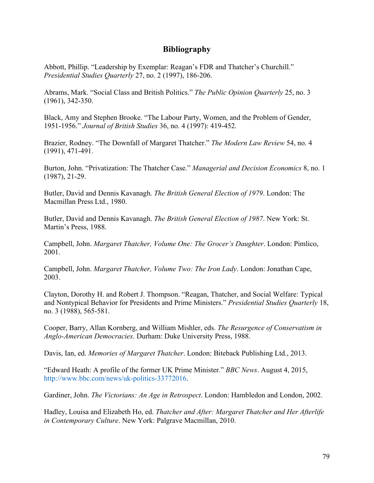## **Bibliography**

Abbott, Phillip. "Leadership by Exemplar: Reagan's FDR and Thatcher's Churchill." *Presidential Studies Quarterly* 27, no. 2 (1997), 186-206.

Abrams, Mark. "Social Class and British Politics." *The Public Opinion Quarterly* 25, no. 3 (1961), 342-350.

Black, Amy and Stephen Brooke. "The Labour Party, Women, and the Problem of Gender, 1951-1956." *Journal of British Studies* 36, no. 4 (1997): 419-452.

Brazier, Rodney. "The Downfall of Margaret Thatcher." *The Modern Law Review* 54, no. 4 (1991), 471-491.

Burton, John. "Privatization: The Thatcher Case." *Managerial and Decision Economics* 8, no. 1 (1987), 21-29.

Butler, David and Dennis Kavanagh. *The British General Election of 1979*. London: The Macmillan Press Ltd., 1980.

Butler, David and Dennis Kavanagh. *The British General Election of 1987*. New York: St. Martin's Press, 1988.

Campbell, John. *Margaret Thatcher, Volume One: The Grocer's Daughter*. London: Pimlico, 2001.

Campbell, John. *Margaret Thatcher, Volume Two: The Iron Lady*. London: Jonathan Cape, 2003.

Clayton, Dorothy H. and Robert J. Thompson. "Reagan, Thatcher, and Social Welfare: Typical and Nontypical Behavior for Presidents and Prime Ministers." *Presidential Studies Quarterly* 18, no. 3 (1988), 565-581.

Cooper, Barry, Allan Kornberg, and William Mishler, eds. *The Resurgence of Conservatism in Anglo-American Democracies*. Durham: Duke University Press, 1988.

Davis, Ian, ed. *Memories of Margaret Thatcher*. London: Biteback Publishing Ltd., 2013.

"Edward Heath: A profile of the former UK Prime Minister." *BBC News*. August 4, 2015, http://www.bbc.com/news/uk-politics-33772016.

Gardiner, John. *The Victorians: An Age in Retrospect*. London: Hambledon and London, 2002.

Hadley, Louisa and Elizabeth Ho, ed. *Thatcher and After: Margaret Thatcher and Her Afterlife in Contemporary Culture*. New York: Palgrave Macmillan, 2010.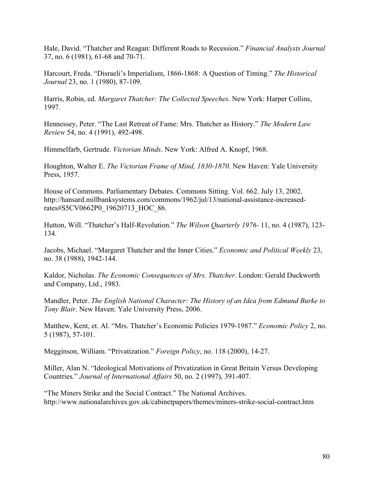Hale, David. "Thatcher and Reagan: Different Roads to Recession." *Financial Analysts Journal* 37, no. 6 (1981), 61-68 and 70-71.

Harcourt, Freda. "Disraeli's Imperialism, 1866-1868: A Question of Timing." *The Historical Journal* 23, no. 1 (1980), 87-109.

Harris, Robin, ed. *Margaret Thatcher: The Collected Speeches*. New York: Harper Collins, 1997.

Hennessey, Peter. "The Last Retreat of Fame: Mrs. Thatcher as History." *The Modern Law Review* 54, no. 4 (1991), 492-498.

Himmelfarb, Gertrude. *Victorian Minds*. New York: Alfred A. Knopf, 1968.

Houghton, Walter E. *The Victorian Frame of Mind, 1830-1870*. New Haven: Yale University Press, 1957.

House of Commons. Parliamentary Debates. Commons Sitting. Vol. 662. July 13, 2002. http://hansard.millbanksystems.com/commons/1962/jul/13/national-assistance-increasedrates#S5CV0662P0\_19620713\_HOC\_86.

Hutton, Will. "Thatcher's Half-Revolution." *The Wilson Quarterly 1976-* 11, no. 4 (1987), 123- 134.

Jacobs, Michael. "Margaret Thatcher and the Inner Cities." *Economic and Political Weekly* 23, no. 38 (1988), 1942-144.

Kaldor, Nicholas. *The Economic Consequences of Mrs. Thatcher*. London: Gerald Duckworth and Company, Ltd., 1983.

Mandler, Peter. *The English National Character: The History of an Idea from Edmund Burke to Tony Blair*. New Haven: Yale University Press, 2006.

Matthew, Kent, et. Al. "Mrs. Thatcher's Economic Policies 1979-1987." *Economic Policy* 2, no. 5 (1987), 57-101.

Megginson, William. "Privatization." *Foreign Policy*, no. 118 (2000), 14-27.

Miller, Alan N. "Ideological Motivations of Privatization in Great Britain Versus Developing Countries." *Journal of International Affairs* 50, no. 2 (1997), 391-407.

"The Miners Strike and the Social Contract." The National Archives. http://www.nationalarchives.gov.uk/cabinetpapers/themes/miners-strike-social-contract.htm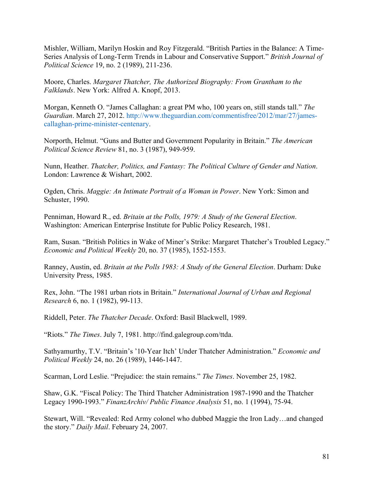Mishler, William, Marilyn Hoskin and Roy Fitzgerald. "British Parties in the Balance: A Time-Series Analysis of Long-Term Trends in Labour and Conservative Support." *British Journal of Political Science* 19, no. 2 (1989), 211-236.

Moore, Charles. *Margaret Thatcher, The Authorized Biography: From Grantham to the Falklands*. New York: Alfred A. Knopf, 2013.

Morgan, Kenneth O. "James Callaghan: a great PM who, 100 years on, still stands tall." *The Guardian*. March 27, 2012. http://www.theguardian.com/commentisfree/2012/mar/27/jamescallaghan-prime-minister-centenary.

Norporth, Helmut. "Guns and Butter and Government Popularity in Britain." *The American Political Science Review* 81, no. 3 (1987), 949-959.

Nunn, Heather. *Thatcher, Politics, and Fantasy: The Political Culture of Gender and Nation*. London: Lawrence & Wishart, 2002.

Ogden, Chris. *Maggie: An Intimate Portrait of a Woman in Power*. New York: Simon and Schuster, 1990.

Penniman, Howard R., ed. *Britain at the Polls, 1979: A Study of the General Election*. Washington: American Enterprise Institute for Public Policy Research, 1981.

Ram, Susan. "British Politics in Wake of Miner's Strike: Margaret Thatcher's Troubled Legacy." *Economic and Political Weekly* 20, no. 37 (1985), 1552-1553.

Ranney, Austin, ed. *Britain at the Polls 1983: A Study of the General Election*. Durham: Duke University Press, 1985.

Rex, John. "The 1981 urban riots in Britain." *International Journal of Urban and Regional Research* 6, no. 1 (1982), 99-113.

Riddell, Peter. *The Thatcher Decade*. Oxford: Basil Blackwell, 1989.

"Riots." *The Times*. July 7, 1981. http://find.galegroup.com/ttda.

Sathyamurthy, T.V. "Britain's '10-Year Itch' Under Thatcher Administration." *Economic and Political Weekly* 24, no. 26 (1989), 1446-1447.

Scarman, Lord Leslie. "Prejudice: the stain remains." *The Times*. November 25, 1982.

Shaw, G.K. "Fiscal Policy: The Third Thatcher Administration 1987-1990 and the Thatcher Legacy 1990-1993." *FinanzArchiv/ Public Finance Analysis* 51, no. 1 (1994), 75-94.

Stewart, Will. "Revealed: Red Army colonel who dubbed Maggie the Iron Lady…and changed the story." *Daily Mail*. February 24, 2007.